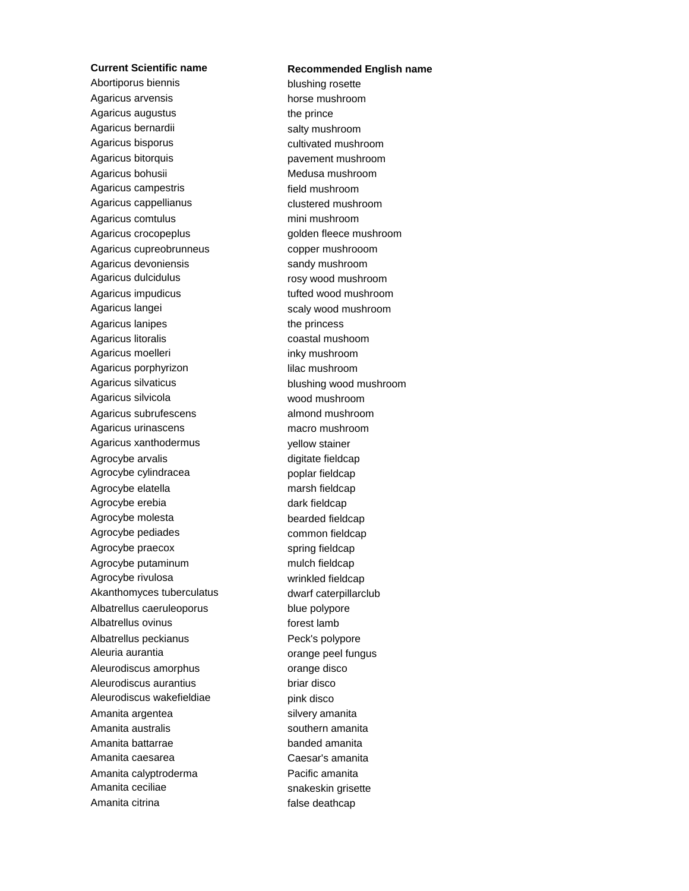Abortiporus biennis blushing rosette Agaricus arvensis horse mushroom Agaricus augustus the prince Agaricus bernardii mentrima salty mushroom Agaricus bisporus cultivated mushroom Agaricus bitorquis extension of the pavement mushroom Agaricus bohusii **Medusa mushroom** Agaricus campestris field mushroom Agaricus cappellianus clustered mushroom Agaricus comtulus mini mushroom Agaricus crocopeplus golden fleece mushroom Agaricus cupreobrunneus copper mushrooom Agaricus devoniensis sandy mushroom Agaricus dulcidulus rosy wood mushroom Agaricus impudicus tufted wood mushroom Agaricus langei scaly wood mushroom Agaricus lanipes the princess Agaricus litoralis coastal mushoom Agaricus moelleri **inky mushroom** Agaricus porphyrizon lilac mushroom Agaricus silvaticus blushing wood mushroom Agaricus silvicola wood mushroom Agaricus subrufescens almond mushroom Agaricus urinascens macro mushroom Agaricus xanthodermus vellow stainer Agrocybe arvalis digitate fieldcap Agrocybe cylindracea poplar fieldcap Agrocybe elatella marsh fieldcap Agrocybe erebia dark fieldcap Agrocybe molesta bearded fieldcap Agrocybe pediades common fieldcap Agrocybe praecox spring fieldcap Agrocybe putaminum mulch fieldcap Agrocybe rivulosa wrinkled fieldcap Akanthomyces tuberculatus dwarf caterpillarclub Albatrellus caeruleoporus blue polypore Albatrellus ovinus forest lamb Albatrellus peckianus **Peck's polypore** Aleuria aurantia **orangement automatic entrarchief contrarchief contrarchief contrarchief contrarchief contrarchief contrarchief contrarchief contrarchief contrarchief contrarchief contrarchief contrarchief contrarchief co** Aleurodiscus amorphus **come contracts** orange disco Aleurodiscus aurantius briar disco Aleurodiscus wakefieldiae bink disco Amanita argentea silvery amanita Amanita australis and the southern amanita Amanita battarrae banded amanita Amanita caesarea Caesar's amanita Amanita calyptroderma<br>
Pacific amanita Amanita ceciliae snakeskin grisette Amanita citrina false deathcap

## **Current Scientific name Recommended English name**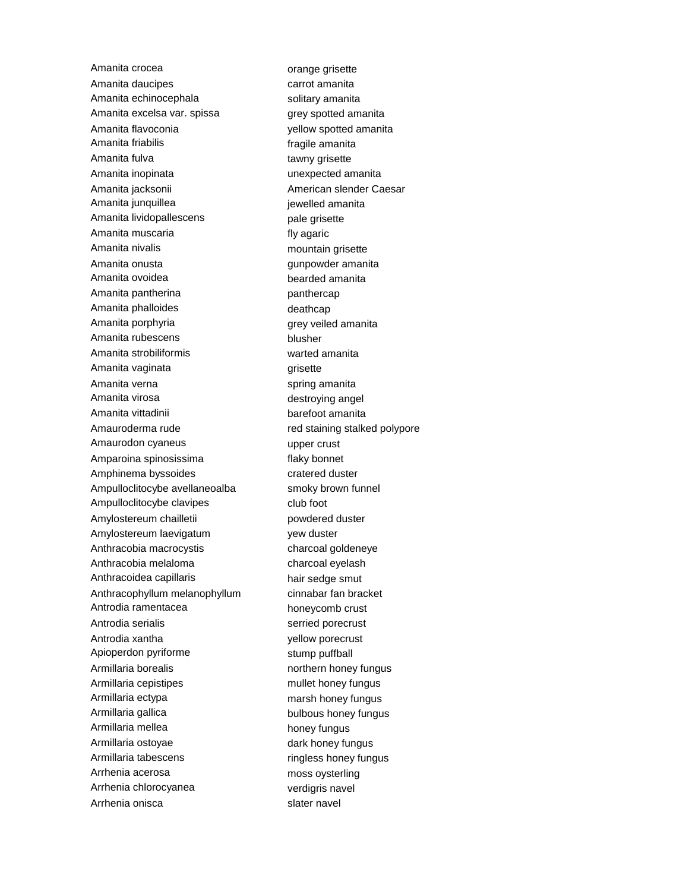Amanita crocea **orange grisette** Amanita daucipes carrot amanita Amanita echinocephala solitary amanita Amanita excelsa var. spissa external grey spotted amanita Amanita flavoconia yellow spotted amanita Amanita friabilis **Amanita** fragile amanita Amanita fulva tawny grisette Amanita inopinata unexpected amanita Amanita jacksonii **American Slender Caesar** Amanita junquillea international experience in prevelled amanita Amanita lividopallescens pale grisette Amanita muscaria **fly** agaric Amanita nivalis mountain grisette Amanita onusta **gunpowder** amanita Amanita ovoidea bearded amanita Amanita pantherina panthercap Amanita phalloides and the manufactured deathcap Amanita porphyria expression of the series of the grey veiled amanita Amanita rubescens blusher Amanita strobiliformis warted amanita Amanita vaginata grisette Amanita verna spring amanita Amanita virosa **destroying angel** Amanita vittadinii barefoot amanita Amauroderma rude red staining stalked polypore Amaurodon cyaneus extensive upper crust Amparoina spinosissima<br>
flaky bonnet Amphinema byssoides cratered duster Ampulloclitocybe avellaneoalba smoky brown funnel Ampulloclitocybe clavipes club foot Amylostereum chailletii **powdered duster** Amylostereum laevigatum yew duster Anthracobia macrocystis charcoal goldeneye Anthracobia melaloma<br>
charcoal eyelash Anthracoidea capillaris hair sedge smut Anthracophyllum melanophyllum cinnabar fan bracket Antrodia ramentacea honeycomb crust Antrodia serialis serried porecrust Antrodia xantha yellow porecrust Apioperdon pyriforme stump puffball Armillaria borealis northern honey fungus Armillaria cepistipes mullet honey fungus Armillaria ectypa marsh honey fungus Armillaria gallica bulbous honey fungus Armillaria mellea honey fungus Armillaria ostoyae dark honey fungus Armillaria tabescens ringless honey fungus Arrhenia acerosa moss oysterling Arrhenia chlorocyanea verdigris navel Arrhenia onisca slater navel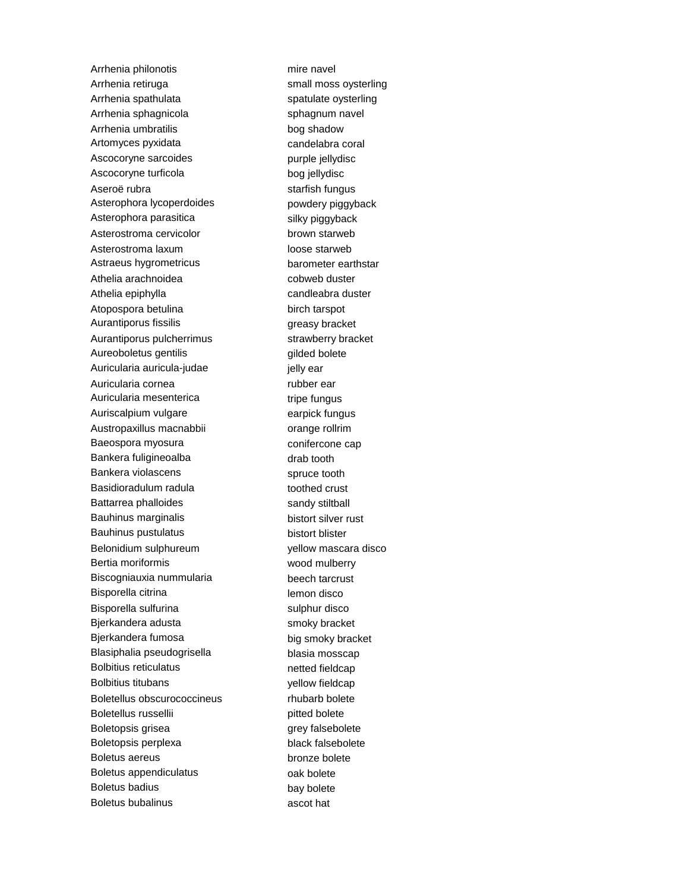Arrhenia philonotis mire navel Arrhenia retiruga **state of the small moss oysterling** Arrhenia spathulata strategies and spatulate oysterling Arrhenia sphagnicola sphagnum navel Arrhenia umbratilis bog shadow Artomyces pyxidata candelabra coral Ascocoryne sarcoides purple jellydisc Ascocoryne turficola bog jellydisc Aseroë rubra starfish fungus Asterophora lycoperdoides powdery piggyback Asterophora parasitica silky piggyback Asterostroma cervicolor brown starweb Asterostroma laxum loose starweb Astraeus hygrometricus barometer earthstar Athelia arachnoidea cobweb duster Athelia epiphylla candleabra duster Atopospora betulina birch tarspot Aurantiporus fissilis extension of the greasy bracket Aurantiporus pulcherrimus strawberry bracket Aureoboletus gentilis entity and the settlement of the settlement of the settlement of the settlement of the s Auricularia auricula-judae international ielly ear Auricularia cornea rubber ear Auricularia mesenterica tripe fungus Auriscalpium vulgare earpick fungus Austropaxillus macnabbii **change rollange roll** Baeospora myosura conifercone cap Bankera fuligineoalba drab tooth Bankera violascens spruce tooth Basidioradulum radula toothed crust Battarrea phalloides sandy stiltball Bauhinus marginalis bistort silver rust Bauhinus pustulatus bistort blister Belonidium sulphureum vellow mascara disco Bertia moriformis wood mulberry Biscogniauxia nummularia beech tarcrust Bisporella citrina lemon disco Bisporella sulfurina sulphur disco Bjerkandera adusta smoky bracket Bjerkandera fumosa big smoky bracket Blasiphalia pseudogrisella blasia mosscap Bolbitius reticulatus netted fieldcap Bolbitius titubans yellow fieldcap Boletellus obscurococcineus rhubarb bolete Boletellus russellii pitted bolete Boletopsis grisea and grey falsebolete Boletopsis perplexa black falsebolete Boletus aereus bronze bolete Boletus appendiculatus **bolete** oak bolete Boletus badius bay bolete Boletus bubalinus ascot hat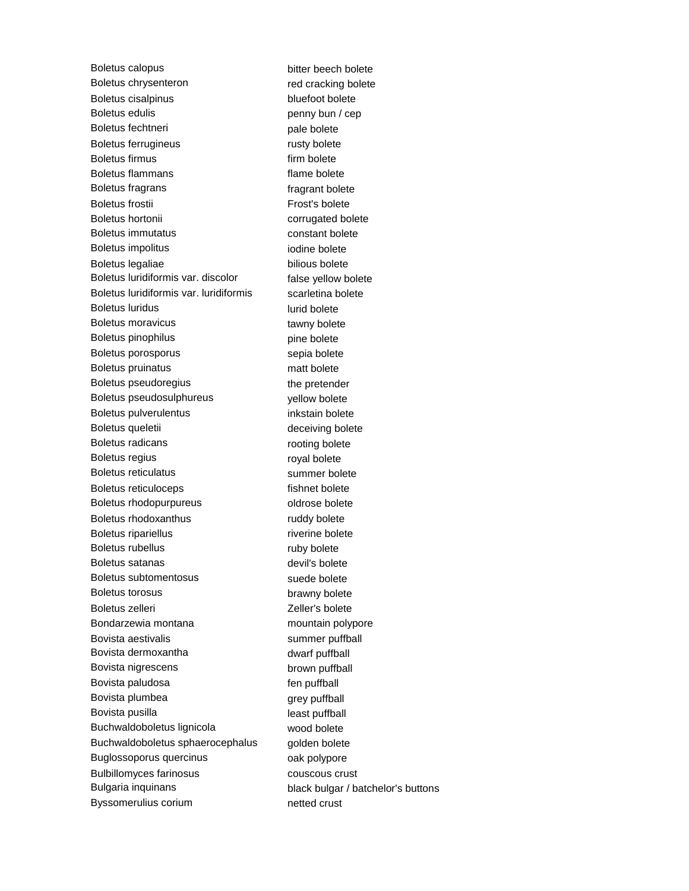Boletus calopus bitter beech bolete Boletus chrysenteron red cracking bolete Boletus cisalpinus bluefoot bolete Boletus edulis equilibrities being penny bun / cep Boletus fechtneri eta alternativa eta pale bolete Boletus ferrugineus rusty bolete Boletus firmus firm bolete Boletus flammans flame bolete Boletus fragrans fragrant bolete Boletus frostii Frost's bolete Boletus hortonii corrugated bolete Boletus immutatus constant bolete Boletus impolitus in the state of the bolete in the bolete in the bolete Boletus legaliae bilious bolete Boletus luridiformis var. discolor false yellow bolete Boletus luridiformis var. luridiformis scarletina bolete Boletus luridus lurid bolete Boletus moravicus tawny bolete Boletus pinophilus entity of the pine bolete Boletus porosporus sepia bolete Boletus pruinatus matt bolete Boletus pseudoregius extender the pretender Boletus pseudosulphureus vellow bolete Boletus pulverulentus inkstain bolete Boletus queletii and a control deceiving bolete Boletus radicans rooting bolete Boletus regius **royal bolete** Boletus reticulatus summer bolete Boletus reticuloceps fishnet bolete Boletus rhodopurpureus **bolete** oldrose bolete Boletus rhodoxanthus ruddy bolete Boletus ripariellus riverine bolete Boletus rubellus ruby bolete Boletus satanas devil's bolete Boletus subtomentosus suede bolete Boletus torosus brawny bolete Boletus zelleri **Zelleri** Zeller's bolete Bondarzewia montana montana mountain polypore Bovista aestivalis summer puffball Bovista dermoxantha dwarf puffball Bovista nigrescens brown puffball Bovista paludosa fen puffball Bovista plumbea grey puffball Bovista pusilla least puffball Buchwaldoboletus lignicola wood bolete Buchwaldoboletus sphaerocephalus golden bolete Buglossoporus quercinus **compared in the US** oak polypore Bulbillomyces farinosus couscous crust Bulgaria inquinans black bulgar / batchelor's buttons Byssomerulius corium netted crust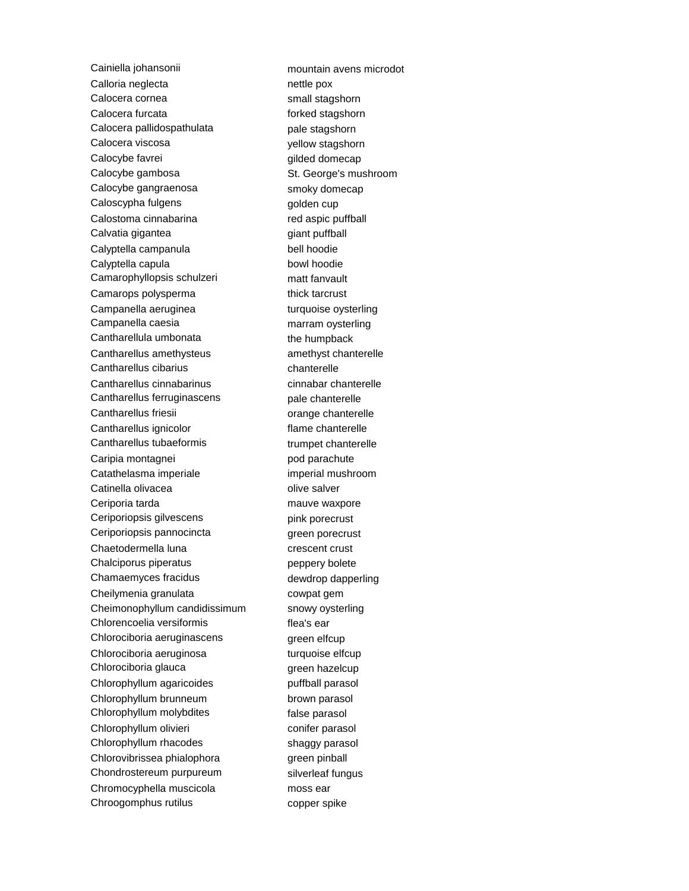Cainiella johansonii mountain avens microdot Calloria neglecta nettle pox Calocera cornea small stagshorn Calocera furcata forked stagshorn Calocera pallidospathulata entity pale stagshorn Calocera viscosa yellow stagshorn Calocybe favrei entertainment and the gilded domecap Calocybe gambosa St. George's mushroom Calocybe gangraenosa smoky domecap Caloscypha fulgens and the computation of the cup Calostoma cinnabarina red aspic puffball Calvatia gigantea **giant puffball** Calyptella campanula bell hoodie Calyptella capula bowl hoodie Camarophyllopsis schulzeri matt fanvault Camarops polysperma<br>
thick tarcrust Campanella aeruginea turquoise oysterling Campanella caesia marram oysterling Cantharellula umbonata the humpback Cantharellus amethysteus amethyst chanterelle Cantharellus cibarius chanterelle Cantharellus cinnabarinus cinnabar chanterelle Cantharellus ferruginascens bale chanterelle Cantharellus friesii **comparise contracts** orange chanterelle Cantharellus ignicolor entitled that the flame chanterelle Cantharellus tubaeformis trumpet chanterelle Caripia montagnei pod parachute Catathelasma imperiale imperial mushroom Catinella olivacea **olive salver** Ceriporia tarda mauve waxpore Ceriporiopsis gilvescens bink porecrust Ceriporiopsis pannocincta entity are green porecrust Chaetodermella luna crescent crust Chalciporus piperatus **permition** peppery bolete Chamaemyces fracidus dewdrop dapperling Cheilymenia granulata cowpat gem Cheimonophyllum candidissimum snowy oysterling Chlorencoelia versiformis flea's ear Chlorociboria aeruginascens green elfcup Chlorociboria aeruginosa turquoise elfcup Chlorociboria glauca green hazelcup Chlorophyllum agaricoides **puffball parasol** Chlorophyllum brunneum brown parasol Chlorophyllum molybdites false parasol Chlorophyllum olivieri conifer parasol Chlorophyllum rhacodes shaggy parasol Chlorovibrissea phialophora **green pinball** Chondrostereum purpureum silverleaf fungus Chromocyphella muscicola moss ear Chroogomphus rutilus copper spike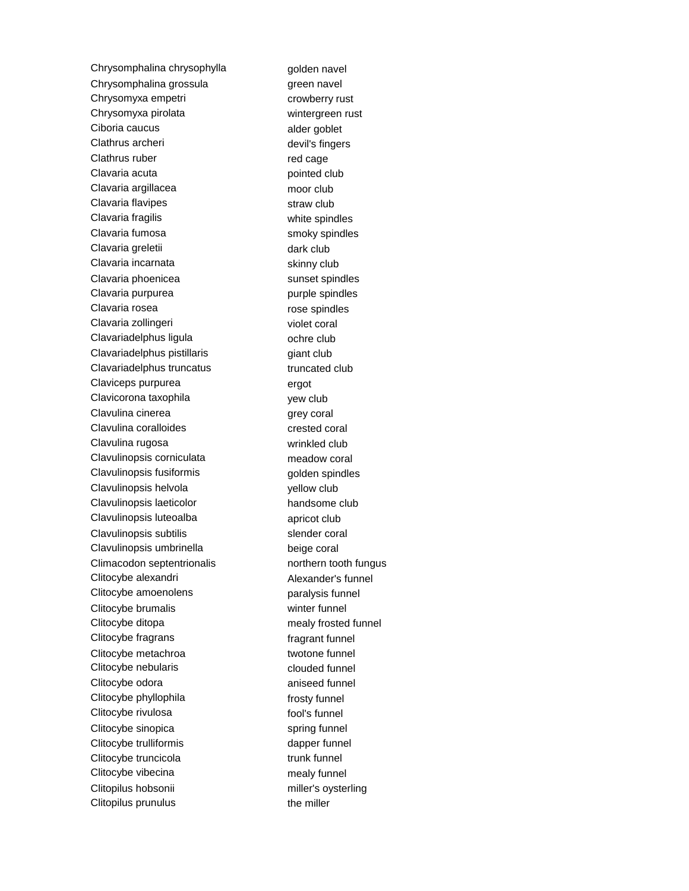Chrysomphalina chrysophylla golden navel Chrysomphalina grossula green navel Chrysomyxa empetri crowberry rust Chrysomyxa pirolata wintergreen rust Ciboria caucus alder goblet Clathrus archeri devil's fingers Clathrus ruber red cage Clavaria acuta **pointed club** Clavaria argillacea moor club Clavaria flavipes straw club Clavaria fragilis extending the spindles white spindles Clavaria fumosa smoky spindles Clavaria greletii aastas asutate dark club Clavaria incarnata skinny club Clavaria phoenicea sunset spindles Clavaria purpurea entranno purple spindles Clavaria rosea **rose** spindles Clavaria zollingeri violet coral Clavariadelphus ligula claves ochre club Clavariadelphus pistillaris example and piant club Clavariadelphus truncatus truncated club Claviceps purpurea ergot Clavicorona taxophila yew club Clavulina cinerea quality of the grey coral Clavulina coralloides crested coral Clavulina rugosa wrinkled club Clavulinopsis corniculata meadow coral Clavulinopsis fusiformis example of the golden spindles Clavulinopsis helvola yellow club Clavulinopsis laeticolor handsome club Clavulinopsis luteoalba apricot club Clavulinopsis subtilis subtilis slender coral Clavulinopsis umbrinella beige coral Climacodon septentrionalis morthern tooth fungus Clitocybe alexandri **Alexander's funnel** Clitocybe amoenolens paralysis funnel Clitocybe brumalis winter funnel Clitocybe ditopa mealy frosted funnel Clitocybe fragrans fragrant funnel Clitocybe metachroa twotone funnel Clitocybe nebularis clouded funnel Clitocybe odora **aniseed** funnel Clitocybe phyllophila frosty funnel Clitocybe rivulosa fool's funnel Clitocybe sinopica spring funnel Clitocybe trulliformis dapper funnel Clitocybe truncicola trunk funnel Clitocybe vibecina mealy funnel Clitopilus hobsonii miller's oysterling Clitopilus prunulus the miller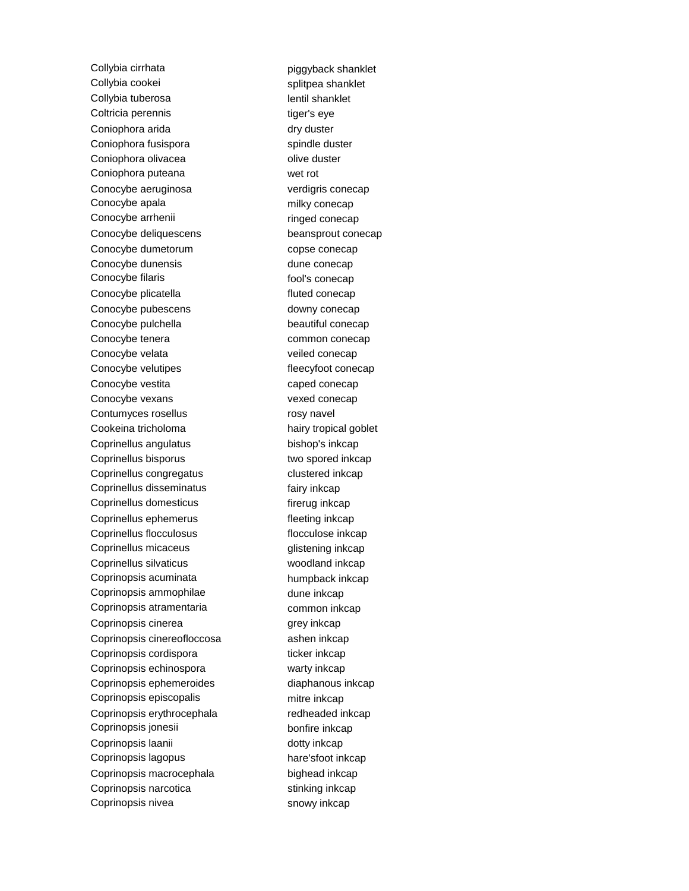Collybia cirrhata piggyback shanklet Collybia cookei splitpea shanklet Collybia tuberosa and a lentil shanklet Coltricia perennis tiger's eye Coniophora arida dry duster Coniophora fusispora spindle duster Coniophora olivacea **olive duster** olive duster Coniophora puteana wet rot Conocybe aeruginosa verdigris conecap Conocybe apala milky conecap Conocybe arrhenii ringed conecap Conocybe deliquescens beansprout conecap Conocybe dumetorum copse conecap Conocybe dunensis dune conecap Conocybe filaris fool's conecap Conocybe plicatella fluted conecap Conocybe pubescens downy conecap Conocybe pulchella beautiful conecap Conocybe tenera common conecap Conocybe velata veiled conecap Conocybe velutipes fleecyfoot conecap Conocybe vestita caped conecap Conocybe vexans vexed conecap Contumyces rosellus rosy navel Cookeina tricholoma<br>
hairy tropical goblet Coprinellus angulatus bishop's inkcap Coprinellus bisporus two spored inkcap Coprinellus congregatus clustered inkcap Coprinellus disseminatus fairy inkcap Coprinellus domesticus firerug inkcap Coprinellus ephemerus fleeting inkcap Coprinellus flocculosus flocculose inkcap Coprinellus micaceus glistening inkcap Coprinellus silvaticus woodland inkcap Coprinopsis acuminata humpback inkcap Coprinopsis ammophilae dune inkcap Coprinopsis atramentaria common inkcap Coprinopsis cinerea grey inkcap Coprinopsis cinereofloccosa ashen inkcap Coprinopsis cordispora ticker inkcap Coprinopsis echinospora warty inkcap Coprinopsis ephemeroides diaphanous inkcap Coprinopsis episcopalis mitre inkcap Coprinopsis erythrocephala redheaded inkcap Coprinopsis jonesii bonfire inkcap Coprinopsis laanii dotty inkcap Coprinopsis lagopus hare'sfoot inkcap Coprinopsis macrocephala bighead inkcap Coprinopsis narcotica stinking inkcap Coprinopsis nivea snowy inkcap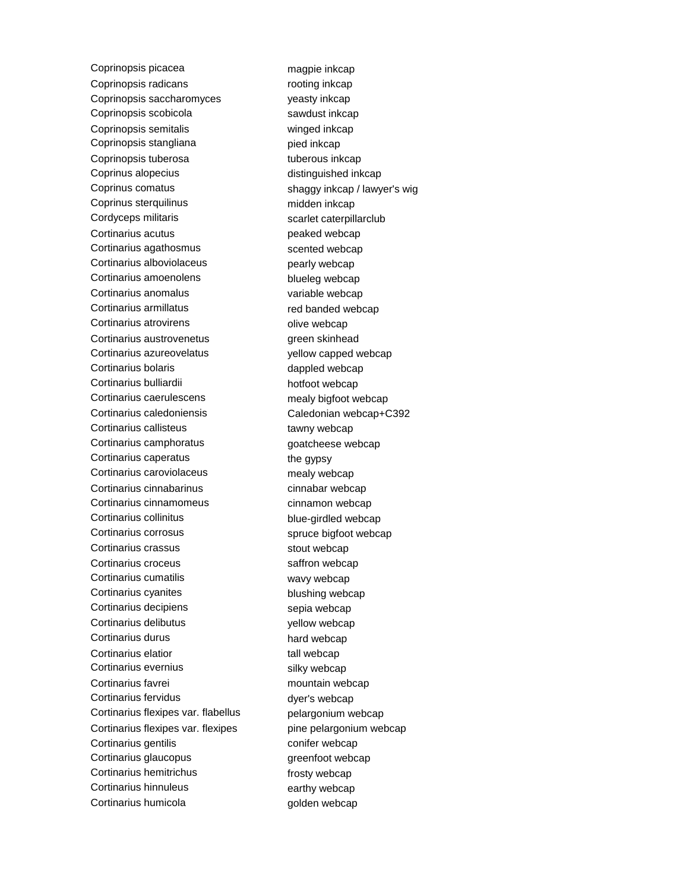Coprinopsis picacea magpie inkcap Coprinopsis radicans rooting inkcap Coprinopsis saccharomyces veasty inkcap Coprinopsis scobicola sawdust inkcap Coprinopsis semitalis winged inkcap Coprinopsis stangliana pied inkcap Coprinopsis tuberosa tuberous inkcap Coprinus alopecius distinguished inkcap Coprinus comatus shaggy inkcap / lawyer's wig Coprinus sterquilinus midden inkcap Cordyceps militaris external control control of the scarlet caterpillarclub Cortinarius acutus **peaked webcap** Cortinarius agathosmus scented webcap Cortinarius alboviolaceus **pearly webcap** Cortinarius amoenolens blueleg webcap Cortinarius anomalus variable webcap Cortinarius armillatus red banded webcap Cortinarius atrovirens **community** olive webcap Cortinarius austrovenetus **green** skinhead Cortinarius azureovelatus vellow capped webcap Cortinarius bolaris extending the cortinarius bolaris dappled webcap Cortinarius bulliardii hotfoot webcap Cortinarius caerulescens mealy bigfoot webcap Cortinarius caledoniensis Caledonian webcap+C392 Cortinarius callisteus tawny webcap Cortinarius camphoratus examples and the system of the cortinarius camp Cortinarius caperatus the gypsy Cortinarius caroviolaceus mealy webcap Cortinarius cinnabarinus cinnabar webcap Cortinarius cinnamomeus cinnamon webcap Cortinarius collinitus **blue-girdled** webcap Cortinarius corrosus spruce bigfoot webcap Cortinarius crassus stout webcap Cortinarius croceus saffron webcap Cortinarius cumatilis wavy webcap Cortinarius cyanites blushing webcap Cortinarius decipiens sepia webcap Cortinarius delibutus vellow webcap Cortinarius durus hard webcap Cortinarius elatior example tall webcap Cortinarius evernius silky webcap Cortinarius favrei **music entraries contrarius** mountain webcap Cortinarius fervidus dyer's webcap Cortinarius flexipes var. flabellus pelargonium webcap Cortinarius flexipes var. flexipes pine pelargonium webcap Cortinarius gentilis conifer webcap Cortinarius glaucopus extensive greenfoot webcap Cortinarius hemitrichus frosty webcap Cortinarius hinnuleus earthy webcap Cortinarius humicola example and golden webcap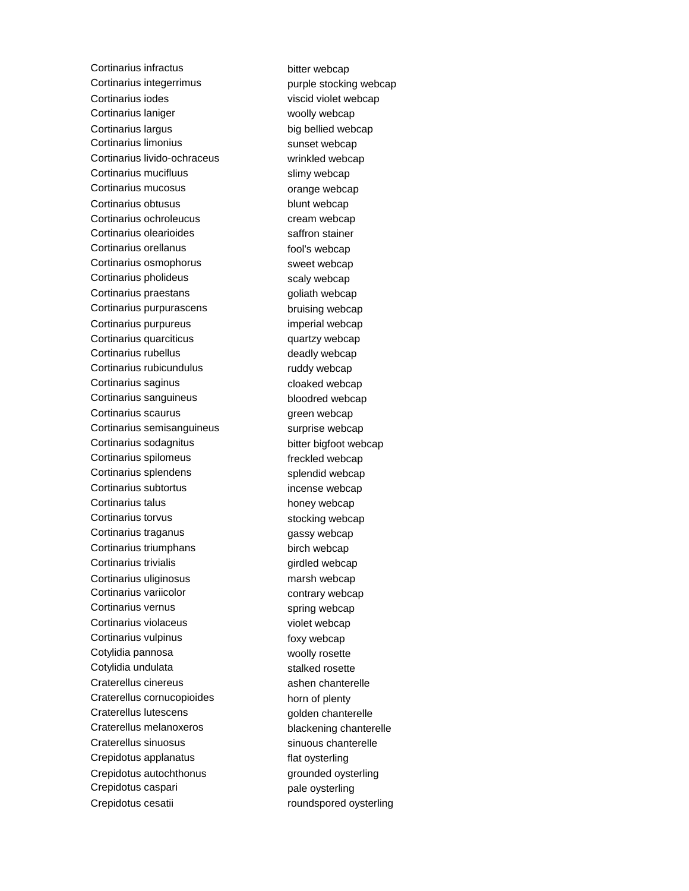Cortinarius infractus bitter webcap Cortinarius integerrimus example stocking webcap Cortinarius iodes viscid violet webcap Cortinarius laniger **woolly webcap** Cortinarius largus big bellied webcap Cortinarius limonius sunset webcap Cortinarius livido-ochraceus wrinkled webcap Cortinarius mucifluus slimy webcap Cortinarius mucosus **community** orange webcap Cortinarius obtusus blunt webcap Cortinarius ochroleucus cream webcap Cortinarius olearioides entitled and saffron stainer Cortinarius orellanus fool's webcap Cortinarius osmophorus sweet webcap Cortinarius pholideus scaly webcap Cortinarius praestans extending the system of goliath webcap Cortinarius purpurascens bruising webcap Cortinarius purpureus imperial webcap Cortinarius quarciticus quartzy webcap Cortinarius rubellus extending the deadly webcap Cortinarius rubicundulus ruddy webcap Cortinarius saginus continues cloaked webcap Cortinarius sanguineus bloodred webcap Cortinarius scaurus green webcap Cortinarius semisanguineus surprise webcap Cortinarius sodagnitus bitter bigfoot webcap Cortinarius spilomeus freckled webcap Cortinarius splendens splendid webcap Cortinarius subtortus incense webcap Cortinarius talus honey webcap Cortinarius torvus extending webcap stocking webcap Cortinarius traganus **gassy** webcap Cortinarius triumphans birch webcap Cortinarius trivialis extending the setting of the cortinarius trivialis Cortinarius uliginosus marsh webcap Cortinarius variicolor contrary webcap Cortinarius vernus spring webcap Cortinarius violaceus violet webcap Cortinarius vulpinus foxy webcap Cotylidia pannosa woolly rosette Cotylidia undulata stalked rosette Craterellus cinereus ashen chanterelle Craterellus cornucopioides horn of plenty Craterellus lutescens golden chanterelle Craterellus melanoxeros blackening chanterelle Craterellus sinuosus sinuous chanterelle Crepidotus applanatus flat oysterling Crepidotus autochthonus **grounded** oysterling Crepidotus caspari entrants and pale oysterling Crepidotus cesatii roundspored oysterling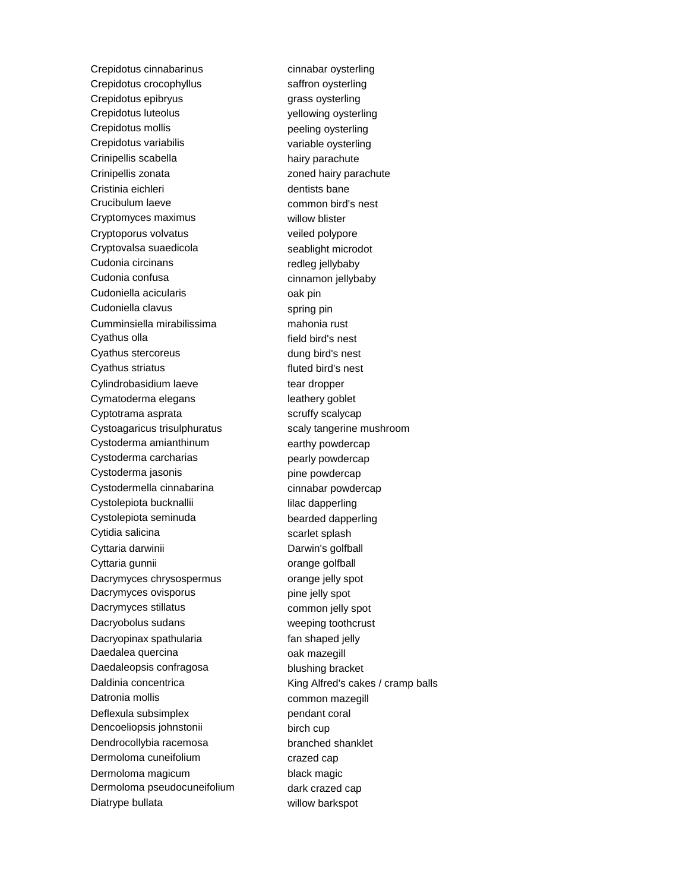Crepidotus cinnabarinus cinnabar oysterling Crepidotus crocophyllus saffron oysterling Crepidotus epibryus **grass** oysterling Crepidotus luteolus yellowing oysterling Crepidotus mollis example of the peeling oysterling Crepidotus variabilis variable oysterling Crinipellis scabella hairy parachute Crinipellis zonata zoned hairy parachute Cristinia eichleri dentists bane Crucibulum laeve common bird's nest Cryptomyces maximus willow blister Cryptoporus volvatus veiled polypore Cryptovalsa suaedicola seablight microdot Cudonia circinans redleg jellybaby Cudonia confusa cinnamon jellybaby Cudoniella acicularis **compared contains** oak pin Cudoniella clavus spring pin Cumminsiella mirabilissima mahonia rust Cyathus olla **field** bird's nest Cyathus stercoreus dung bird's nest Cyathus striatus **Cyathus** striatus **fluted bird's** nest Cylindrobasidium laeve tear dropper Cymatoderma elegans **intervalse and the Cymatoderma** elegans Cyptotrama asprata scruffy scalycap Cystoagaricus trisulphuratus scaly tangerine mushroom Cystoderma amianthinum earthy powdercap Cystoderma carcharias example are pearly powdercap Cystoderma jasonis expansion of pine powdercap Cystodermella cinnabarina cinnabar powdercap Cystolepiota bucknallii lilac dapperling Cystolepiota seminuda bearded dapperling Cytidia salicina scarlet splash Cyttaria darwinii **Darwin's golfball** Cyttaria gunnii **charge golfball** Dacrymyces chrysospermus orange jelly spot Dacrymyces ovisporus **pine jelly** spot Dacrymyces stillatus common jelly spot Dacryobolus sudans weeping toothcrust Dacryopinax spathularia fan shaped jelly Daedalea quercina **compared entity of the contract of the contract of the contract of the contract of the contract of the contract of the contract of the contract of the contract of the contract of the contract of the cont** Daedaleopsis confragosa blushing bracket Datronia mollis **common mazegill** Deflexula subsimplex pendant coral Dencoeliopsis johnstonii birch cup Dendrocollybia racemosa branched shanklet Dermoloma cuneifolium crazed cap Dermoloma magicum black magic Dermoloma pseudocuneifolium dark crazed cap Diatrype bullata willow barkspot

Daldinia concentrica 
King Alfred's cakes / cramp balls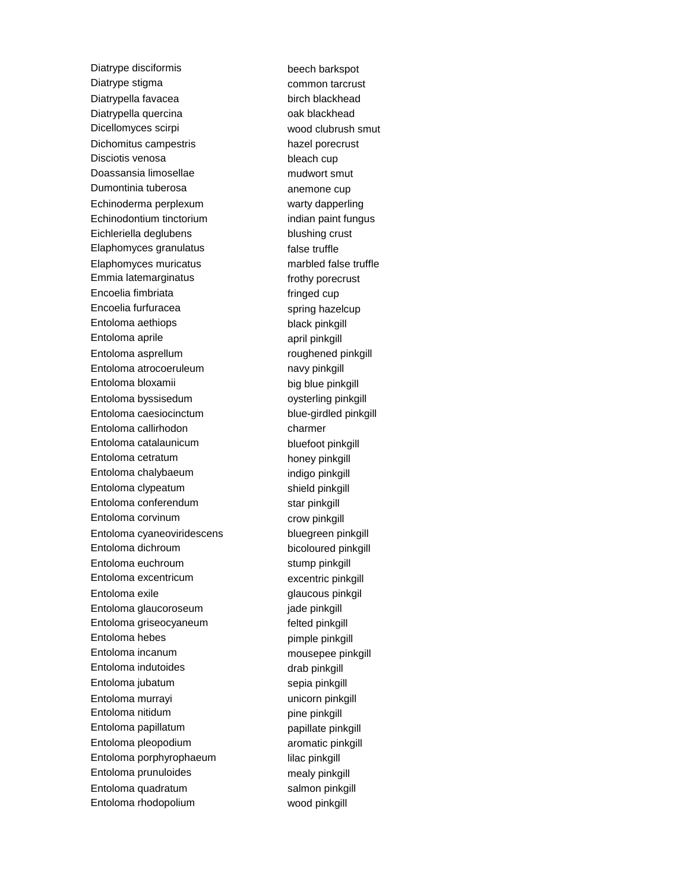Diatrype disciformis beech barkspot Diatrype stigma<br>
Example 2013 The Common tarcrust Diatrypella favacea birch blackhead Diatrypella quercina **oak blackhead** Dicellomyces scirpi wood clubrush smut Dichomitus campestris hazel porecrust Disciotis venosa bleach cup Doassansia limosellae mudwort smut Dumontinia tuberosa anemone cup Echinoderma perplexum warty dapperling Echinodontium tinctorium indian paint fungus Eichleriella deglubens blushing crust Elaphomyces granulatus false truffle Elaphomyces muricatus marbled false truffle Emmia latemarginatus frothy porecrust Encoelia fimbriata fringed cup Encoelia furfuracea spring hazelcup Entoloma aethiops black pinkgill Entoloma aprile april pinkgill Entoloma asprellum roughened pinkgill Entoloma atrocoeruleum navy pinkgill Entoloma bloxamii big blue pinkgill Entoloma byssisedum oysterling pinkgill Entoloma caesiocinctum blue-girdled pinkgill Entoloma callirhodon charmer Entoloma catalaunicum bluefoot pinkgill Entoloma cetratum honey pinkgill Entoloma chalybaeum indigo pinkgill Entoloma clypeatum shield pinkgill Entoloma conferendum star pinkgill Entoloma corvinum crow pinkgill Entoloma cyaneoviridescens bluegreen pinkgill Entoloma dichroum bicoloured pinkgill Entoloma euchroum stump pinkgill Entoloma excentricum excentric pinkgill Entoloma exile **glaucous** pinkgil Entoloma glaucoroseum jade pinkgill Entoloma griseocyaneum felted pinkgill Entoloma hebes pimple pinkgill Entoloma incanum mousepee pinkgill Entoloma indutoides drab pinkgill Entoloma jubatum sepia pinkgill Entoloma murrayi variana kunicorn pinkgill Entoloma nitidum pine pinkgill Entoloma papillatum **papillate pinkgill** Entoloma pleopodium aromatic pinkgill Entoloma porphyrophaeum lilac pinkgill Entoloma prunuloides mealy pinkgill Entoloma quadratum salmon pinkgill Entoloma rhodopolium wood pinkgill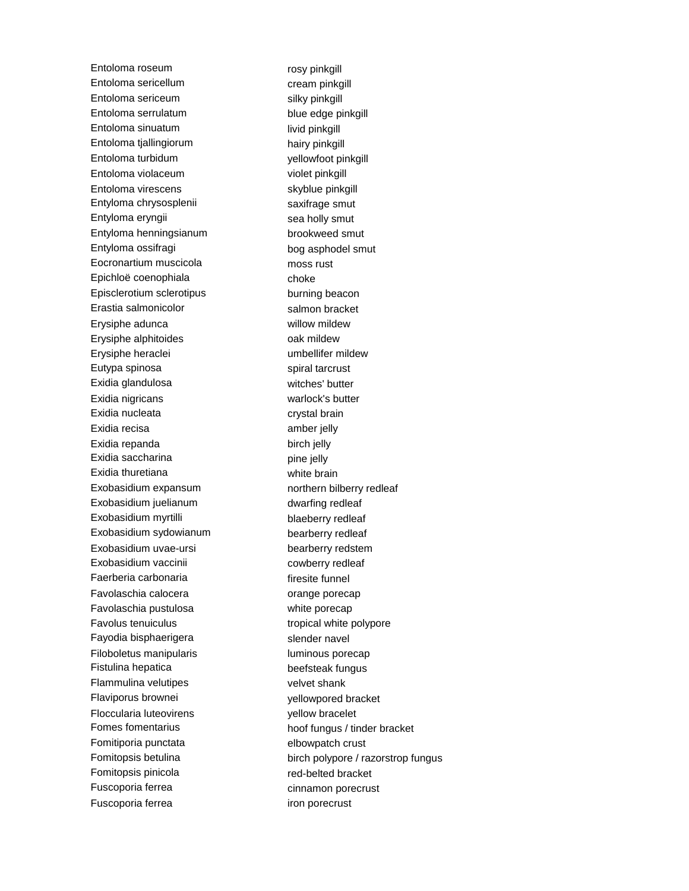Entoloma roseum rosy pinkgill Entoloma sericellum cream pinkgill Entoloma sericeum silky pinkgill Entoloma serrulatum blue edge pinkgill Entoloma sinuatum livid pinkgill Entoloma tjallingiorum hairy pinkgill Entoloma turbidum vellowfoot pinkgill Entoloma violaceum violet pinkgill Entoloma virescens skyblue pinkgill Entyloma chrysosplenii saxifrage smut Entyloma eryngii sea holly smut Entyloma henningsianum brookweed smut Entyloma ossifragi bog asphodel smut Eocronartium muscicola moss rust Epichloë coenophiala choke Episclerotium sclerotipus burning beacon Erastia salmonicolor salmon bracket Erysiphe adunca willow mildew Erysiphe alphitoides **come contained to the entity of the entity of the entity of the entity of the entity of the entity of the entity of the entity of the entity of the entity of the entity of the entity of the entity of** Erysiphe heraclei von deutscheiden umbellifer mildew Eutypa spinosa spiral tarcrust Exidia glandulosa witches' butter Exidia nigricans warlock's butter Exidia nucleata crystal brain Exidia recisa **amber** jelly Exidia repanda birch jelly Exidia saccharina **pine jelly** pine jelly Exidia thuretiana white brain Exobasidium expansum northern bilberry redleaf Exobasidium juelianum dwarfing redleaf Exobasidium myrtilli blaeberry redleaf Exobasidium sydowianum bearberry redleaf Exobasidium uvae-ursi bearberry redstem Exobasidium vaccinii cowberry redleaf Faerberia carbonaria entre international firesite funnel Favolaschia calocera **orange porecap** Favolaschia pustulosa white porecap Favolus tenuiculus tropical white polypore Fayodia bisphaerigera slender navel Filoboletus manipularis luminous porecap Fistulina hepatica beefsteak fungus Flammulina velutipes velvet shank Flaviporus brownei yellowpored bracket Floccularia luteovirens yellow bracelet Fomitiporia punctata elbowpatch crust Fomitopsis pinicola red-belted bracket Fuscoporia ferrea cinnamon porecrust Fuscoporia ferrea iron porecrust

Fomes fomentarius hoof fungus / tinder bracket Fomitopsis betulina birch polypore / razorstrop fungus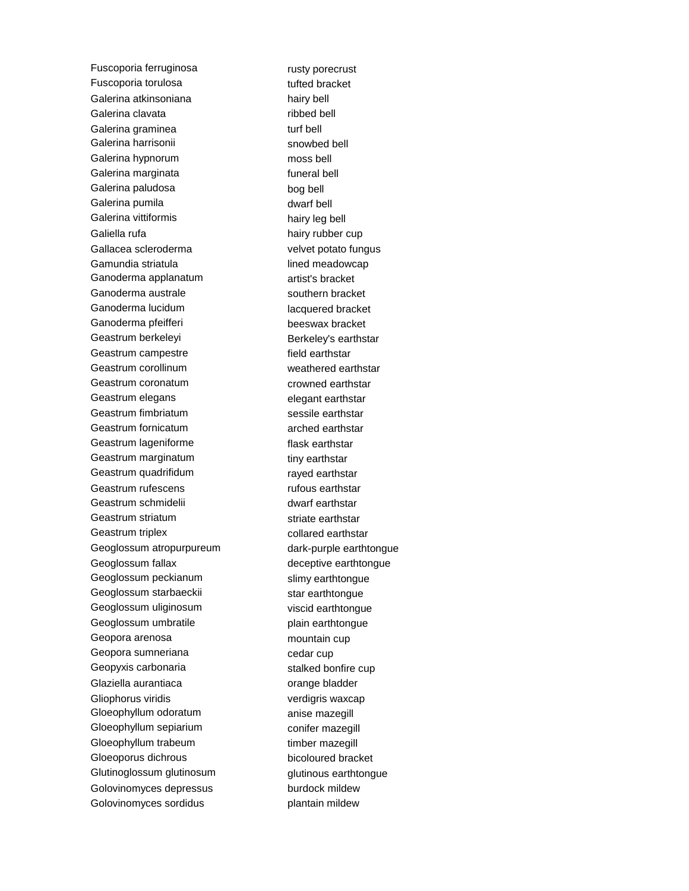Fuscoporia ferruginosa rusty porecrust Fuscoporia torulosa tufted bracket Galerina atkinsoniana hairy bell Galerina clavata **ribbed** bell Galerina graminea turf bell Galerina harrisonii snowbed bell Galerina hypnorum moss bell Galerina marginata **fundition** funeral bell Galerina paludosa bog bell Galerina pumila dwarf bell Galerina vittiformis hairy leg bell Galiella rufa hairy rubber cup Gallacea scleroderma<br>
velvet potato fungus Gamundia striatula lined meadowcap Ganoderma applanatum artist's bracket Ganoderma australe southern bracket Ganoderma lucidum lacquered bracket Ganoderma pfeifferi **beeswax** bracket Geastrum berkeleyi **Berkeley's earthstar** Geastrum campestre field earthstar Geastrum corollinum weathered earthstar Geastrum coronatum crowned earthstar Geastrum elegans elegant earthstar Geastrum fimbriatum sessile earthstar Geastrum fornicatum arched earthstar Geastrum lageniforme flask earthstar Geastrum marginatum tiny earthstar Geastrum quadrifidum rayed earthstar Geastrum rufescens **rufous earthstar** Geastrum schmidelii dwarf earthstar Geastrum striatum striate earthstar Geastrum triplex collared earthstar Geoglossum atropurpureum dark-purple earthtongue Geoglossum fallax deceptive earthtongue Geoglossum peckianum slimy earthtongue Geoglossum starbaeckii star earthtongue Geoglossum uliginosum viscid earthtongue Geoglossum umbratile entity plain earthtongue Geopora arenosa mountain cup Geopora sumneriana cedar cup Geopyxis carbonaria stalked bonfire cup Glaziella aurantiaca **orange bladder** Gliophorus viridis verdigris waxcap Gloeophyllum odoratum anise mazegill Gloeophyllum sepiarium conifer mazegill Gloeophyllum trabeum timber mazegill Gloeoporus dichrous bicoloured bracket Glutinoglossum glutinosum glutinous earthtongue Golovinomyces depressus burdock mildew Golovinomyces sordidus plantain mildew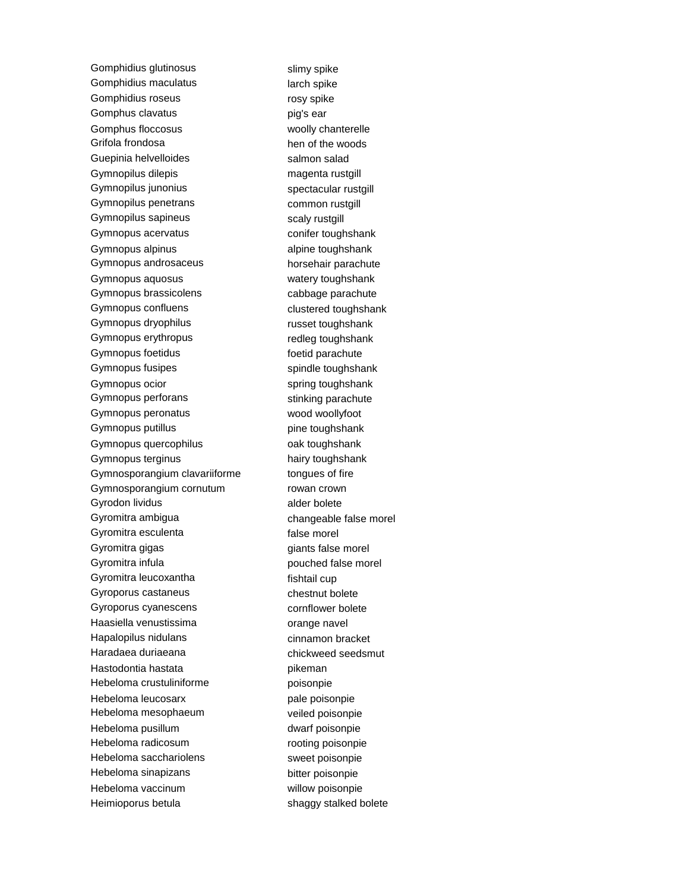Gomphidius glutinosus slimy spike Gomphidius maculatus **interests** arch spike Gomphidius roseus **rosy** spike Gomphus clavatus ear big's ear Gomphus floccosus woolly chanterelle Grifola frondosa hen of the woods Guepinia helvelloides salmon salad Gymnopilus dilepis magenta rustgill Gymnopilus junonius spectacular rustgill Gymnopilus penetrans common rustgill Gymnopilus sapineus scaly rustgill Gymnopus acervatus conifer toughshank Gymnopus alpinus and alpine toughshank Gymnopus androsaceus horsehair parachute Gymnopus aquosus **watery toughshank** Gymnopus brassicolens cabbage parachute Gymnopus confluens content clustered toughshank Gymnopus dryophilus russet toughshank Gymnopus erythropus redleg toughshank Gymnopus foetidus foetid parachute Gymnopus fusipes spindle toughshank Gymnopus ocior spring toughshank Gymnopus perforans stinking parachute Gymnopus peronatus wood woollyfoot Gymnopus putillus extension of the pine toughshank Gymnopus quercophilus **come come controlled and controlled and controlled and controlled and controlled and controlled and controlled and controlled and controlled and controlled and controlled and controlled and controlle** Gymnopus terginus hairy toughshank Gymnosporangium clavariiforme tongues of fire Gymnosporangium cornutum rowan crown Gyrodon lividus alder bolete Gyromitra ambigua changeable false morel Gyromitra esculenta false morel Gyromitra gigas giants false morel Gyromitra infula extending the pouched false morel Gyromitra leucoxantha fishtail cup Gyroporus castaneus chestnut bolete Gyroporus cyanescens cornflower bolete Haasiella venustissima orange navel Hapalopilus nidulans cinnamon bracket Haradaea duriaeana chickweed seedsmut Hastodontia hastata **pikeman** Hebeloma crustuliniforme **poisonpie** Hebeloma leucosarx pale poisonpie Hebeloma mesophaeum veiled poisonpie Hebeloma pusillum dwarf poisonpie Hebeloma radicosum rooting poisonpie Hebeloma sacchariolens sweet poisonpie Hebeloma sinapizans bitter poisonpie Hebeloma vaccinum willow poisonpie Heimioporus betula shaggy stalked bolete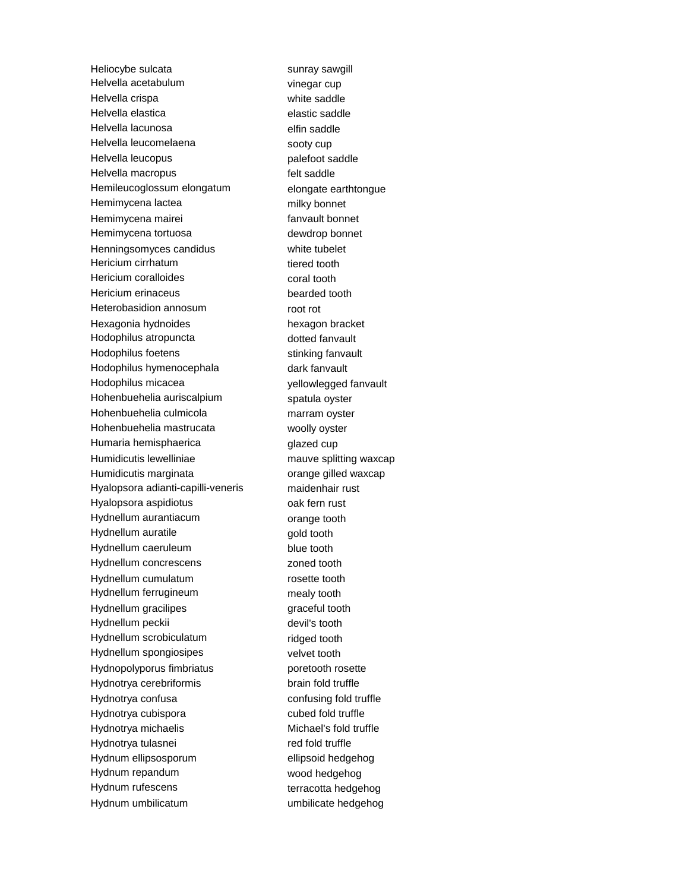Heliocybe sulcata sunray sawgill Helvella acetabulum vinegar cup Helvella crispa white saddle Helvella elastica elastic saddle Helvella lacunosa elfin saddle Helvella leucomelaena sooty cup Helvella leucopus entitlement of the palefoot saddle Helvella macropus felt saddle Hemileucoglossum elongatum elongate earthtongue Hemimycena lactea milky bonnet Hemimycena mairei **Fansylvan** fanvault bonnet Hemimycena tortuosa dewdrop bonnet Henningsomyces candidus white tubelet Hericium cirrhatum tiered tooth Hericium coralloides coral tooth Hericium erinaceus bearded tooth Heterobasidion annosum root rot Hexagonia hydnoides hexagon bracket Hodophilus atropuncta dotted fanvault Hodophilus foetens stinking fanvault Hodophilus hymenocephala dark fanvault Hodophilus micacea yellowlegged fanvault Hohenbuehelia auriscalpium spatula oyster Hohenbuehelia culmicola marram oyster Hohenbuehelia mastrucata woolly oyster Humaria hemisphaerica entity of the glazed cup Humidicutis lewelliniae mauve splitting waxcap Humidicutis marginata **butter or any contract or any contract or any contract or any contract of the Humidicutis** Hyalopsora adianti-capilli-veneris maidenhair rust Hyalopsora aspidiotus **being the contract of the Hyalopsora** aspidiotus Hydnellum aurantiacum **come come to the entity of the entity of the entity of the entity of the entity of the entity** Hydnellum auratile example and tooth gold tooth Hydnellum caeruleum blue tooth Hydnellum concrescens **zoned** tooth Hydnellum cumulatum rosette tooth Hydnellum ferrugineum mealy tooth Hydnellum gracilipes graceful tooth Hydnellum peckii devil's tooth Hydnellum scrobiculatum ridged tooth Hydnellum spongiosipes velvet tooth Hydnopolyporus fimbriatus **poretooth** rosette Hydnotrya cerebriformis brain fold truffle Hydnotrya confusa confusing fold truffle Hydnotrya cubispora cubed fold truffle Hydnotrya michaelis Michael's fold truffle Hydnotrya tulasnei red fold truffle Hydnum ellipsosporum ellipsoid hedgehog Hydnum repandum wood hedgehog Hydnum rufescens terracotta hedgehog Hydnum umbilicatum umbilicate hedgehog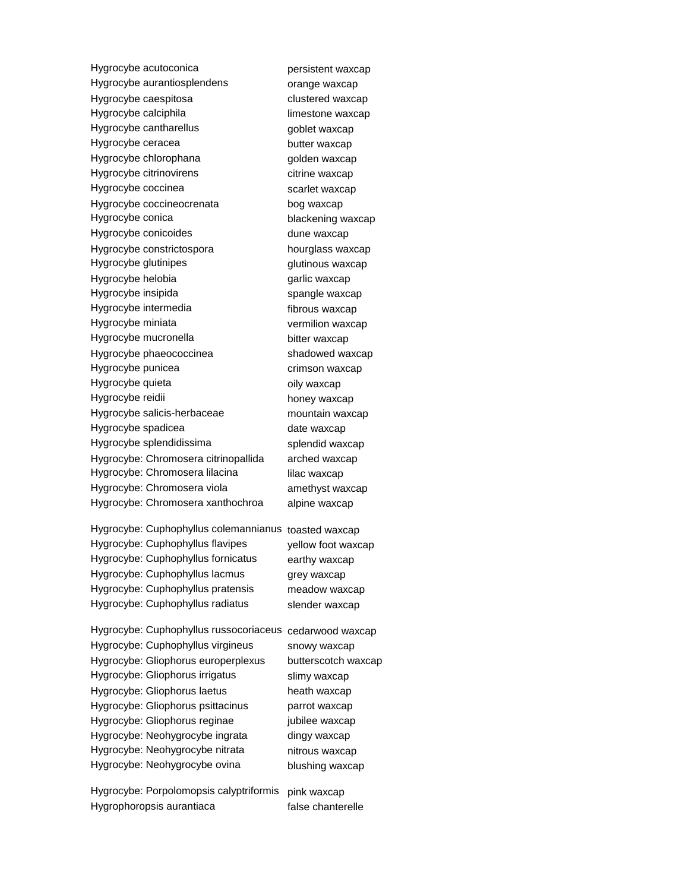Hygrocybe acutoconica example persistent waxcap Hygrocybe aurantiosplendens orange waxcap Hygrocybe caespitosa clustered waxcap Hygrocybe calciphila limestone waxcap Hygrocybe cantharellus example of the goblet waxcap Hygrocybe ceracea butter waxcap Hygrocybe chlorophana golden waxcap Hygrocybe citrinovirens example in the vaxcap Hygrocybe coccinea scarlet waxcap Hygrocybe coccineocrenata bog waxcap Hygrocybe conica blackening waxcap Hygrocybe conicoides dune waxcap Hygrocybe constrictospora hourglass waxcap Hygrocybe glutinipes example and the glutinous waxcap Hygrocybe helobia entitled and the garlic waxcap Hygrocybe insipida spangle waxcap Hygrocybe intermedia fibrous waxcap Hygrocybe miniata vermilion waxcap Hygrocybe mucronella bitter waxcap Hygrocybe phaeococcinea shadowed waxcap Hygrocybe punicea crimson waxcap Hygrocybe quieta **oily** waxcap Hygrocybe reidii honey waxcap Hygrocybe salicis-herbaceae mountain waxcap Hygrocybe spadicea date waxcap Hygrocybe splendidissima splendid waxcap Hygrocybe: Chromosera citrinopallida arched waxcap Hygrocybe: Chromosera lilacina lilac waxcap Hygrocybe: Chromosera viola amethyst waxcap Hygrocybe: Chromosera xanthochroa alpine waxcap

Hygrocybe: Cuphophyllus colemannianus toasted waxcap Hygrocybe: Cuphophyllus flavipes yellow foot waxcap Hygrocybe: Cuphophyllus fornicatus earthy waxcap Hygrocybe: Cuphophyllus lacmus grey waxcap Hygrocybe: Cuphophyllus pratensis meadow waxcap Hygrocybe: Cuphophyllus radiatus slender waxcap

Hygrocybe: Cuphophyllus russocoriaceus cedarwood waxcap Hygrocybe: Cuphophyllus virgineus snowy waxcap Hygrocybe: Gliophorus europerplexus butterscotch waxcap

Hygrocybe: Gliophorus irrigatus slimy waxcap Hygrocybe: Gliophorus laetus heath waxcap Hygrocybe: Gliophorus psittacinus parrot waxcap Hygrocybe: Gliophorus reginae iubilee waxcap Hygrocybe: Neohygrocybe ingrata dingy waxcap Hygrocybe: Neohygrocybe nitrata nitrous waxcap Hygrocybe: Neohygrocybe ovina blushing waxcap

Hygrocybe: Porpolomopsis calyptriformis pink waxcap Hygrophoropsis aurantiaca false chanterelle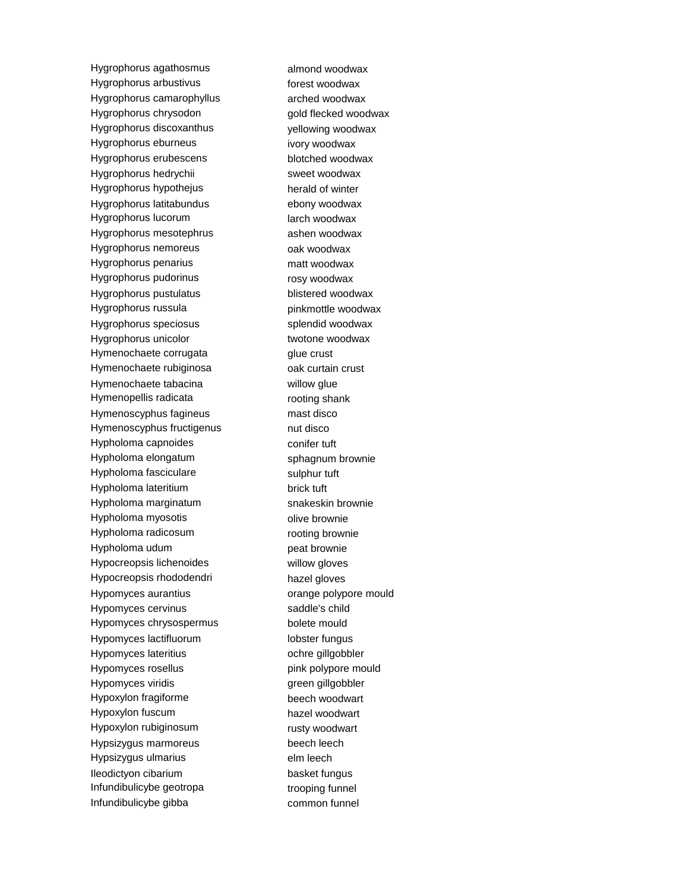Hygrophorus agathosmus almond woodwax Hygrophorus arbustivus forest woodwax Hygrophorus camarophyllus arched woodwax Hygrophorus chrysodon gold flecked woodwax Hygrophorus discoxanthus yellowing woodwax Hygrophorus eburneus ivory woodwax Hygrophorus erubescens blotched woodwax Hygrophorus hedrychii sweet woodwax Hygrophorus hypothejus herald of winter Hygrophorus latitabundus ebony woodwax Hygrophorus lucorum larch woodwax Hygrophorus mesotephrus ashen woodwax Hygrophorus nemoreus **being the control of the Hygrophorus** nemoreus Hygrophorus penarius matt woodwax Hygrophorus pudorinus rosy woodwax Hygrophorus pustulatus blistered woodwax Hygrophorus russula pinkmottle woodwax Hygrophorus speciosus splendid woodwax Hygrophorus unicolor twotone woodwax Hymenochaete corrugata glue crust Hymenochaete rubiginosa oak curtain crust Hymenochaete tabacina **willow** glue Hymenopellis radicata rooting shank Hymenoscyphus fagineus mast disco Hymenoscyphus fructigenus mut disco Hypholoma capnoides conifer tuft Hypholoma elongatum sphagnum brownie Hypholoma fasciculare sulphur tuft Hypholoma lateritium brick tuft Hypholoma marginatum snakeskin brownie Hypholoma myosotis olive brownie Hypholoma radicosum rooting brownie Hypholoma udum peat brownie Hypocreopsis lichenoides willow gloves Hypocreopsis rhododendri hazel gloves Hypomyces aurantius orange polypore mould Hypomyces cervinus saddle's child Hypomyces chrysospermus bolete mould Hypomyces lactifluorum lobster fungus Hypomyces lateritius ochre gillgobbler Hypomyces rosellus example and pink polypore mould Hypomyces viridis and the state of the green gillgobbler Hypoxylon fragiforme beech woodwart Hypoxylon fuscum hazel woodwart Hypoxylon rubiginosum rusty woodwart Hypsizygus marmoreus beech leech Hypsizygus ulmarius elm leech Ileodictyon cibarium basket fungus Infundibulicybe geotropa trooping funnel Infundibulicybe gibba common funnel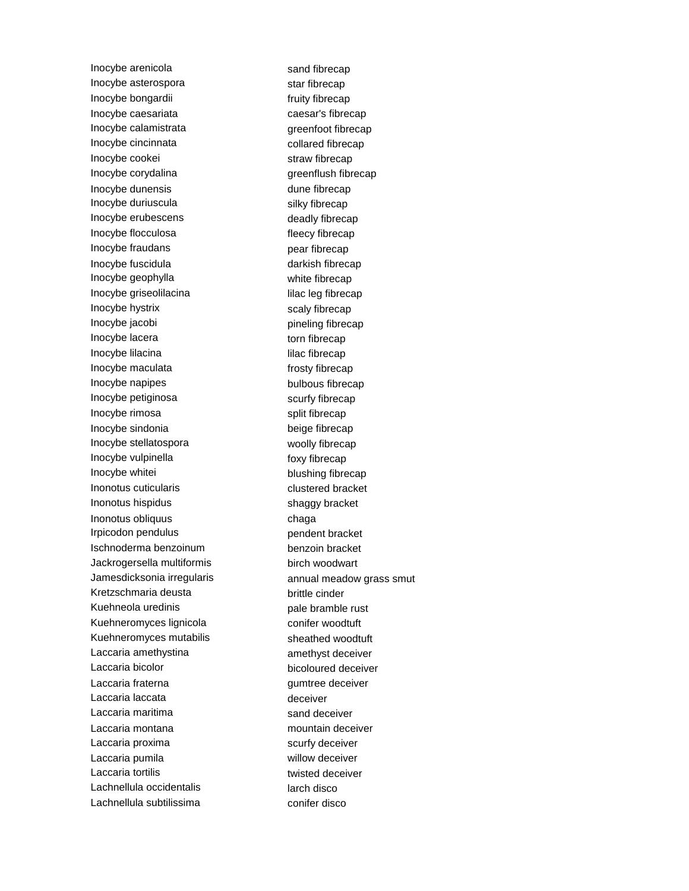Inocybe arenicola sand fibrecap Inocybe asterospora star fibrecap Inocybe bongardii fruity fibrecap Inocybe caesariata caesar's fibrecap Inocybe calamistrata greenfoot fibrecap Inocybe cincinnata collared fibrecap Inocybe cookei straw fibrecap Inocybe corydalina and greenflush fibrecap Inocybe dunensis and the dune fibrecap Inocybe duriuscula silky fibrecap Inocybe erubescens deadly fibrecap Inocybe flocculosa fleecy fibrecap Inocybe fraudans **pear** fibrecap Inocybe fuscidula darkish fibrecap Inocybe geophylla white fibrecap Inocybe griseolilacina lilac leg fibrecap Inocybe hystrix scaly fibrecap Inocybe jacobi **pineling fibrecap** Inocybe lacera torn fibrecap Inocybe lilacina lilac fibrecap Inocybe maculata frosty fibrecap Inocybe napipes bulbous fibrecap Inocybe petiginosa scurfy fibrecap Inocybe rimosa split fibrecap Inocybe sindonia beige fibrecap Inocybe stellatospora woolly fibrecap Inocybe vulpinella foxy fibrecap Inocybe whitei blushing fibrecap Inonotus cuticularis clustered bracket Inonotus hispidus shaggy bracket Inonotus obliquus chaga Irpicodon pendulus pendent bracket Ischnoderma benzoinum benzoin bracket Jackrogersella multiformis birch woodwart Kretzschmaria deusta brittle cinder Kuehneola uredinis etternation on the pale bramble rust Kuehneromyces lignicola conifer woodtuft Kuehneromyces mutabilis sheathed woodtuft Laccaria amethystina and the samethyst deceiver Laccaria bicolor bicoloured deceiver Laccaria fraterna entremiente deceiver Laccaria laccata deceiver Laccaria maritima sand deceiver Laccaria montana montana mountain deceiver Laccaria proxima scurfy deceiver Laccaria pumila willow deceiver Laccaria tortilis twisted deceiver Lachnellula occidentalis larch disco Lachnellula subtilissima<br>
conifer disco

Jamesdicksonia irregularis annual meadow grass smut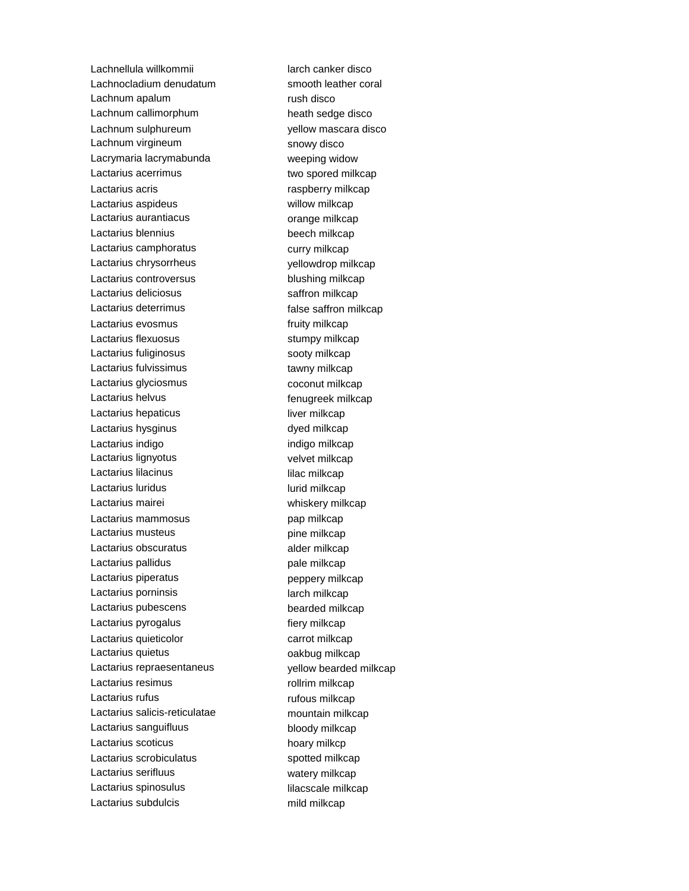Lachnellula willkommii larch canker disco Lachnocladium denudatum smooth leather coral Lachnum apalum rush disco Lachnum callimorphum heath sedge disco Lachnum sulphureum vellow mascara disco Lachnum virgineum snowy disco Lacrymaria lacrymabunda weeping widow Lactarius acerrimus two spored milkcap Lactarius acris **raspberry milkcap** Lactarius aspideus **Willow milkcap** Lactarius aurantiacus **compared automorphic example and the example of angle milkcap** Lactarius blennius beech milkcap Lactarius camphoratus curry milkcap Lactarius chrysorrheus vellowdrop milkcap Lactarius controversus blushing milkcap Lactarius deliciosus saffron milkcap Lactarius deterrimus extending the saffron milkcap Lactarius evosmus executive fruity milkcap Lactarius flexuosus stumpy milkcap Lactarius fuliginosus sooty milkcap Lactarius fulvissimus tawny milkcap Lactarius glyciosmus coconut milkcap Lactarius helvus **Example 2018** fenugreek milkcap Lactarius hepaticus **interpretational except in the UL** liver milkcap Lactarius hysginus dyed milkcap Lactarius indigo **indigo indigo milkcap** Lactarius lignyotus velvet milkcap Lactarius lilacinus **intervalse and the contract of the contract of the contract of the contract of the contract of the contract of the contract of the contract of the contract of the contract of the contract of the contra** Lactarius luridus **Lactarius** lurid milkcap Lactarius mairei **Exercise State State Control** whiskery milkcap Lactarius mammosus **pap milkcap** Lactarius musteus extending the milkcap Lactarius obscuratus alder milkcap Lactarius pallidus extending pale milkcap Lactarius piperatus **peppery milkcap** Lactarius porninsis and a larch milkcap Lactarius pubescens bearded milkcap Lactarius pyrogalus extending the fiery milkcap Lactarius quieticolor carrot milkcap Lactarius quietus **Lactarius** quietus **alle anno 1992** and 1992 and 1993 Lactarius repraesentaneus vellow bearded milkcap Lactarius resimus **Lactarius** rollrim milkcap Lactarius rufus **Lactarius** rufous milkcap Lactarius salicis-reticulatae mountain milkcap Lactarius sanguifluus bloody milkcap Lactarius scoticus hoary milkcp Lactarius scrobiculatus sextiliaris spotted milkcap Lactarius serifluus watery milkcap Lactarius spinosulus lilacscale milkcap Lactarius subdulcis mild milkcap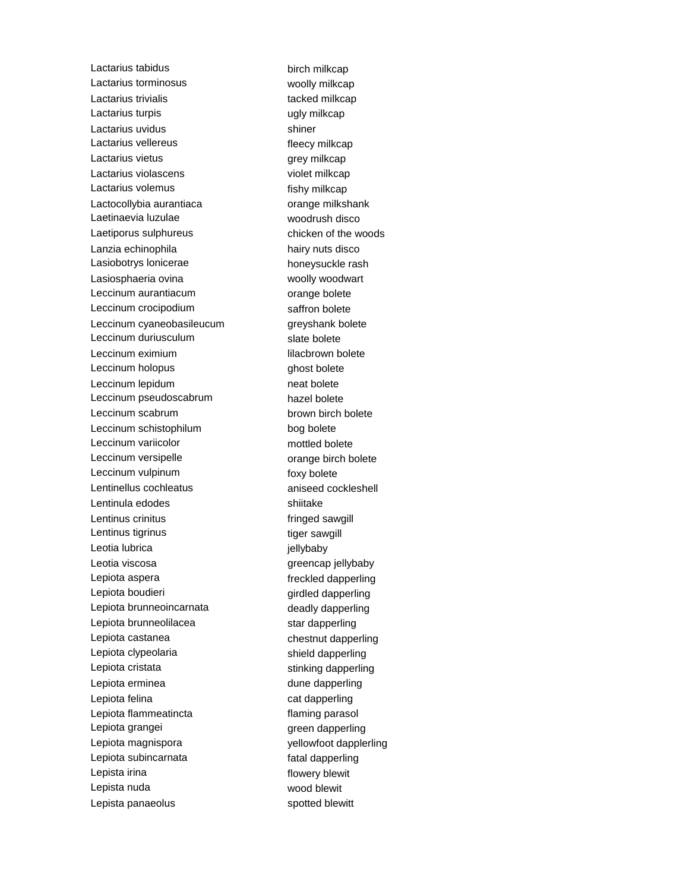Lactarius tabidus birch milkcap Lactarius torminosus **Example 20** woolly milkcap Lactarius trivialis tacked milkcap Lactarius turpis example and the ugly milkcap Lactarius uvidus **Shiner** shiner Lactarius vellereus entre the fleecy milkcap Lactarius vietus **grey milkcap** Lactarius violascens violet milkcap Lactarius volemus fishy milkcap Lactocollybia aurantiaca<br>
orange milkshank Laetinaevia luzulae woodrush disco Laetiporus sulphureus chicken of the woods Lanzia echinophila hairy nuts disco Lasiobotrys lonicerae honeysuckle rash Lasiosphaeria ovina woolly woodwart Leccinum aurantiacum **compared as a contract of the Contract Contract Contract Contract Contract Contract Contract Contract Contract Contract Contract Contract Contract Contract Contract Contract Contract Contract Contract** Leccinum crocipodium saffron bolete Leccinum cyaneobasileucum greyshank bolete Leccinum duriusculum slate bolete Leccinum eximium and the control of the lilacbrown bolete Leccinum holopus and the control of the control of the control of the control of the control of the control of the control of the control of the control of the control of the control of the control of the control of the co Leccinum lepidum neat bolete Leccinum pseudoscabrum hazel bolete Leccinum scabrum brown birch bolete Leccinum schistophilum bog bolete Leccinum variicolor mottled bolete Leccinum versipelle **community** orange birch bolete Leccinum vulpinum foxy bolete Lentinellus cochleatus aniseed cockleshell Lentinula edodes shiitake Lentinus crinitus **Example 2** and the fringed sawgill Lentinus tigrinus tiger sawgill Leotia lubrica in the settlement of the settlement of the settlement of the settlement of the settlement of the settlement of the settlement of the settlement of the settlement of the settlement of the settlement of the se Leotia viscosa **greencap** jellybaby Lepiota aspera **freckled** dapperling Lepiota boudieri eta alian boudieri dan alternativa dan girdled dapperling Lepiota brunneoincarnata deadly dapperling Lepiota brunneolilacea star dapperling Lepiota castanea chestnut dapperling Lepiota clypeolaria shield dapperling Lepiota cristata stinking dapperling Lepiota erminea dune dapperling Lepiota felina cat dapperling Lepiota flammeatincta flaming parasol Lepiota grangei and a green dapperling Lepiota magnispora vellowfoot dapplerling Lepiota subincarnata fatal dapperling Lepista irina **flowery** blewit Lepista nuda wood blewit Lepista panaeolus spotted blewitt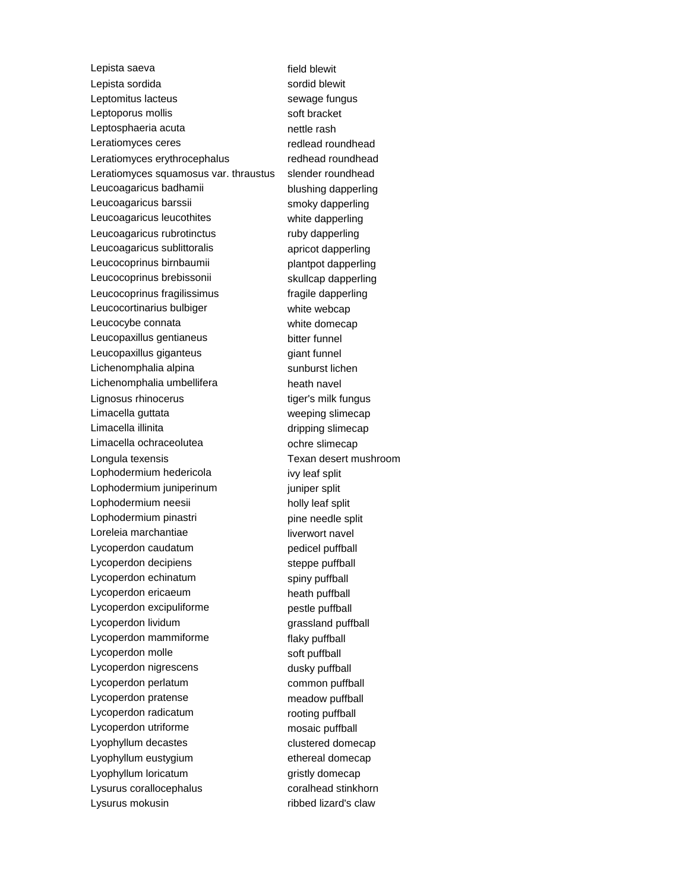Lepista saeva<br>
Field blewit Lepista sordida sordi blewit Leptomitus lacteus sewage fungus Leptoporus mollis soft bracket Leptosphaeria acuta nettle rash Leratiomyces ceres redlead roundhead Leratiomyces erythrocephalus redhead roundhead Leratiomyces squamosus var. thraustus slender roundhead Leucoagaricus badhamii blushing dapperling Leucoagaricus barssii smoky dapperling Leucoagaricus leucothites white dapperling Leucoagaricus rubrotinctus ruby dapperling Leucoagaricus sublittoralis apricot dapperling Leucocoprinus birnbaumii enteritor established plantpot dapperling Leucocoprinus brebissonii skullcap dapperling Leucocoprinus fragilissimus fragile dapperling Leucocortinarius bulbiger white webcap Leucocybe connata white domecap Leucopaxillus gentianeus bitter funnel Leucopaxillus giganteus external giant funnel Lichenomphalia alpina sunburst lichen Lichenomphalia umbellifera heath navel Lignosus rhinocerus tiger's milk fungus Limacella guttata weeping slimecap Limacella illinita dripping slimecap Limacella ochraceolutea ochre slimecap Longula texensis Texan desert mushroom Lophodermium hedericola ivy leaf split Lophodermium juniperinum juniper split Lophodermium neesii holly leaf split Lophodermium pinastri pine needle split Loreleia marchantiae liverwort navel Lycoperdon caudatum pedicel puffball Lycoperdon decipiens steppe puffball Lycoperdon echinatum spiny puffball Lycoperdon ericaeum heath puffball Lycoperdon excipuliforme **pestle puffball** Lycoperdon lividum grassland puffball Lycoperdon mammiforme flaky puffball Lycoperdon molle soft puffball Lycoperdon nigrescens dusky puffball Lycoperdon perlatum common puffball Lycoperdon pratense meadow puffball Lycoperdon radicatum rooting puffball Lycoperdon utriforme mosaic puffball Lyophyllum decastes clustered domecap Lyophyllum eustygium ethereal domecap Lyophyllum loricatum gristly domecap Lysurus corallocephalus coralhead stinkhorn Lysurus mokusin **ribbed lizard's claw**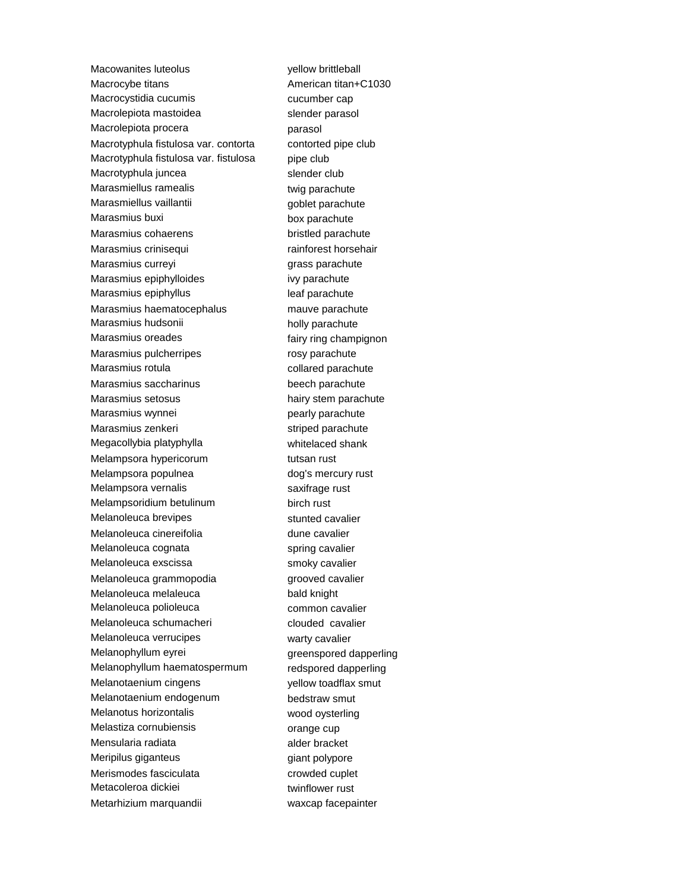Macowanites luteolus vellow brittleball Macrocybe titans Macrocybe titans American titan+C1030 Macrocystidia cucumis example a cucumber cap Macrolepiota mastoidea slender parasol Macrolepiota procera **parasol** Macrotyphula fistulosa var. contorta contorted pipe club Macrotyphula fistulosa var. fistulosa pipe club Macrotyphula juncea slender club Marasmiellus ramealis twig parachute Marasmiellus vaillantii van alle suurinnud vallantii van alle van goblet parachute Marasmius buxi box parachute Marasmius cohaerens bristled parachute Marasmius crinisequi **rainforest horsehair** Marasmius curreyi **grass** parachute Marasmius epiphylloides ivy parachute Marasmius epiphyllus leaf parachute Marasmius haematocephalus mauve parachute Marasmius hudsonii holly parachute Marasmius oreades **Fairy ring champignon** Marasmius pulcherripes rosy parachute Marasmius rotula collared parachute Marasmius saccharinus beech parachute Marasmius setosus hairy stem parachute Marasmius wynnei **pearly parachute** Marasmius zenkeri striped parachute Megacollybia platyphylla whitelaced shank Melampsora hypericorum tutsan rust Melampsora populnea dog's mercury rust Melampsora vernalis saxifrage rust Melampsoridium betulinum birch rust Melanoleuca brevipes stunted cavalier Melanoleuca cinereifolia dune cavalier Melanoleuca cognata spring cavalier Melanoleuca exscissa smoky cavalier Melanoleuca grammopodia grooved cavalier Melanoleuca melaleuca bald knight Melanoleuca polioleuca common cavalier Melanoleuca schumacheri clouded cavalier Melanoleuca verrucipes warty cavalier Melanophyllum eyrei greenspored dapperling Melanophyllum haematospermum redspored dapperling Melanotaenium cingens yellow toadflax smut Melanotaenium endogenum bedstraw smut Melanotus horizontalis wood oysterling Melastiza cornubiensis **come contrarying the contrarying orange cup** Mensularia radiata alder bracket Meripilus giganteus et al. et al. et al. et al. et al. et al. et al. et al. et al. et al. et al. et al. et al. e Merismodes fasciculata crowded cuplet Metacoleroa dickiei twinflower rust Metarhizium marquandii waxcap facepainter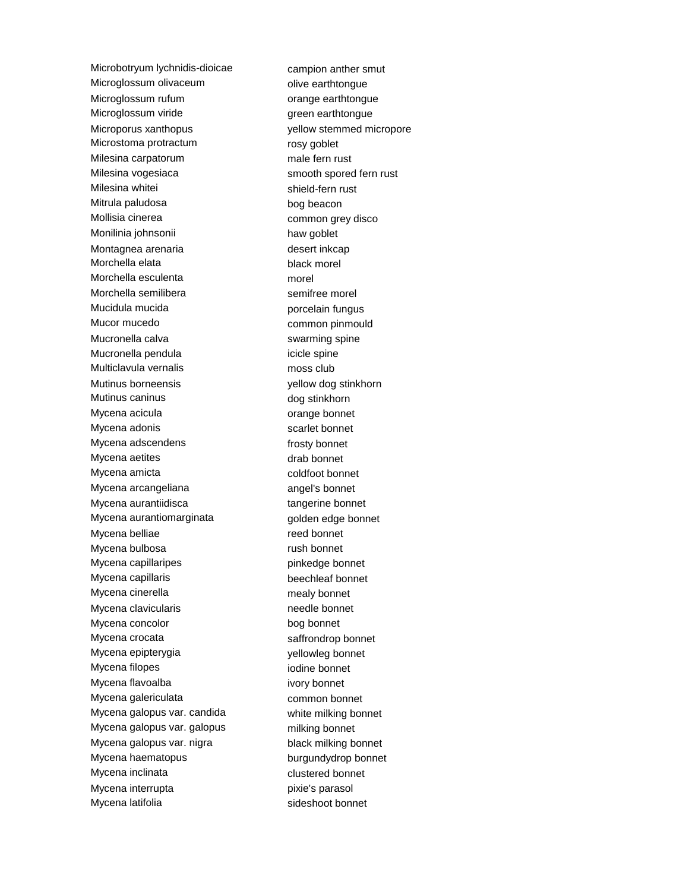Microbotryum lychnidis-dioicae campion anther smut Microglossum olivaceum **olive earthtongue** Microglossum rufum and the state orange earthtongue Microglossum viride green earthtongue Microporus xanthopus yellow stemmed micropore Microstoma protractum rosy goblet Milesina carpatorum male fern rust Milesina vogesiaca smooth spored fern rust Milesina whitei shield-fern rust Mitrula paludosa bog beacon Mollisia cinerea common grey disco Monilinia johnsonii haw goblet Montagnea arenaria desert inkcap Morchella elata black morel Morchella esculenta morel Morchella semilibera semitree morel Mucidula mucida porcelain fungus Mucor mucedo common pinmould Mucronella calva swarming spine Mucronella pendula icicle spine Multiclavula vernalis moss club Mutinus borneensis yellow dog stinkhorn Mutinus caninus dog stinkhorn Mycena acicula **orange bonnet** Mycena adonis and the scarlet bonnet Mycena adscendens frosty bonnet Mycena aetites drab bonnet Mycena amicta coldfoot bonnet Mycena arcangeliana angel's bonnet Mycena aurantiidisca tangerine bonnet Mycena aurantiomarginata entity of golden edge bonnet Mycena belliae reed bonnet Mycena bulbosa **rush bonnet** Mycena capillaripes extending the pinkedge bonnet Mycena capillaris beechleaf bonnet Mycena cinerella mealy bonnet Mycena clavicularis needle bonnet Mycena concolor bog bonnet Mycena crocata saffrondrop bonnet Mycena epipterygia yellowleg bonnet Mycena filopes in the state of the bonnet in the bonnet Mycena flavoalba ivory bonnet Mycena galericulata common bonnet Mycena galopus var. candida white milking bonnet Mycena galopus var. galopus milking bonnet Mycena galopus var. nigra black milking bonnet Mycena haematopus burgundydrop bonnet Mycena inclinata clustered bonnet Mycena interrupta pixie's parasol Mycena latifolia sideshoot bonnet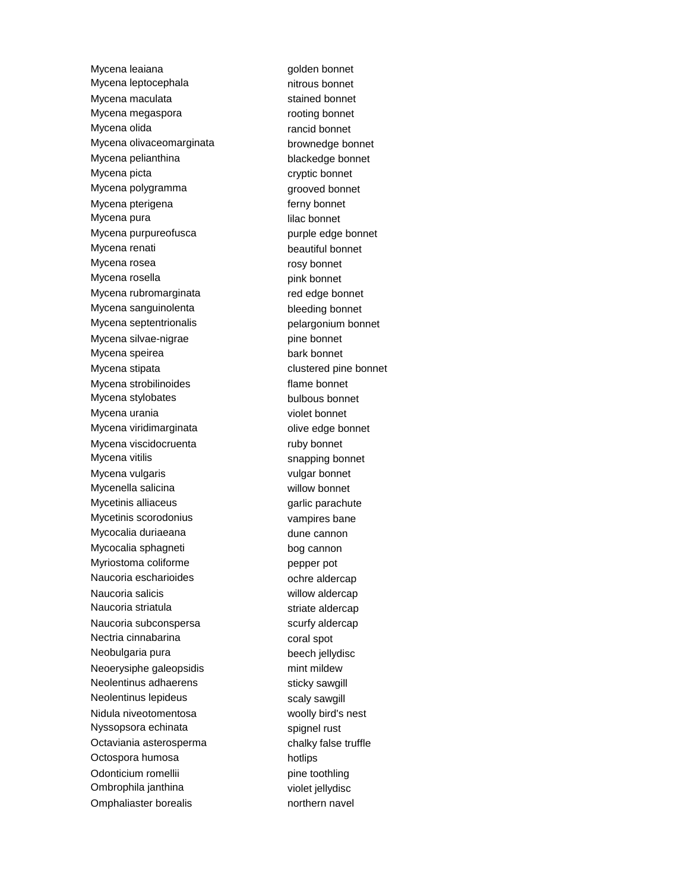Mycena leaiana **golden** bonnet Mycena leptocephala nitrous bonnet Mycena maculata stained bonnet Mycena megaspora **rooting** bonnet Mycena olida **rancid bonnet** Mycena olivaceomarginata brownedge bonnet Mycena pelianthina blackedge bonnet Mycena picta cryptic bonnet Mycena polygramma grooved bonnet Mycena pterigena **fermy** bonnet Mycena pura lilac bonnet Mycena purpureofusca purple edge bonnet Mycena renati beautiful bonnet Mycena rosea **rosy** bonnet Mycena rosella **pink** bonnet Mycena rubromarginata red edge bonnet Mycena sanguinolenta bleeding bonnet Mycena septentrionalis entity of the pelargonium bonnet Mycena silvae-nigrae pine bonnet Mycena speirea bark bonnet Mycena stipata clustered pine bonnet Mycena strobilinoides flame bonnet Mycena stylobates bulbous bonnet Mycena urania violet bonnet Mycena viridimarginata **olive edge bonnet** Mycena viscidocruenta ruby bonnet Mycena vitilis snapping bonnet Mycena vulgaris vulgar bonnet Mycenella salicina willow bonnet Mycetinis alliaceus **garlic parachute** Mycetinis scorodonius vampires bane Mycocalia duriaeana dune cannon Mycocalia sphagneti bog cannon Myriostoma coliforme **pepper pot** Naucoria escharioides ochre aldercap Naucoria salicis willow aldercap Naucoria striatula striate aldercap Naucoria subconspersa scurfy aldercap Nectria cinnabarina coral spot Neobulgaria pura beech jellydisc Neoerysiphe galeopsidis mint mildew Neolentinus adhaerens sticky sawgill Neolentinus lepideus scaly sawgill Nidula niveotomentosa woolly bird's nest Nyssopsora echinata spignel rust Octaviania asterosperma<br>
chalky false truffle Octospora humosa hotlips Odonticium romellii pine toothling Ombrophila janthina violet jellydisc Omphaliaster borealis northern navel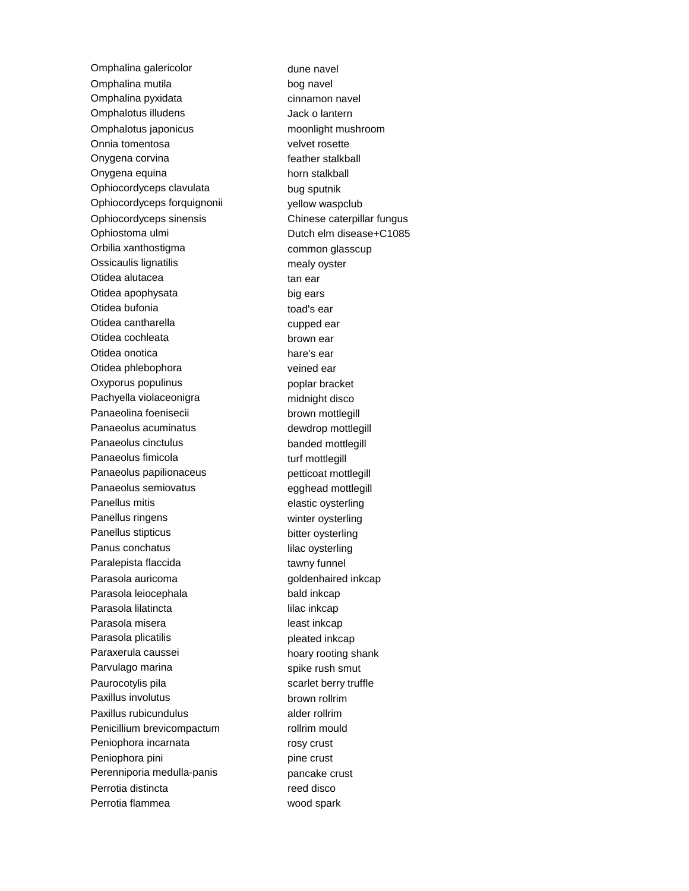Omphalina galericolor dune navel Omphalina mutila bog navel Omphalina pyxidata cinnamon navel Omphalotus illudens **Jack o lantern** Omphalotus japonicus moonlight mushroom Onnia tomentosa velvet rosette Onygena corvina example a feather stalkball Onygena equina horn stalkball Ophiocordyceps clavulata bug sputnik Ophiocordyceps forquignonii vellow waspclub Ophiocordyceps sinensis Chinese caterpillar fungus Ophiostoma ulmi Dutch elm disease+C1085 Orbilia xanthostigma<br>
common glasscup Ossicaulis lignatilis mealy oyster Otidea alutacea tan ear Otidea apophysata big ears Otidea bufonia toad's ear Otidea cantharella cupped ear Otidea cochleata brown ear Otidea onotica hare's ear Otidea phlebophora veined ear Oxyporus populinus external poplar bracket Pachyella violaceonigra midnight disco Panaeolina foenisecii brown mottlegill Panaeolus acuminatus dewdrop mottlegill Panaeolus cinctulus banded mottlegill Panaeolus fimicola et al. et al. et al. et al. et al. et al. et al. et al. et al. et al. et al. et al. et al. e Panaeolus papilionaceus **petticoat mottlegill** Panaeolus semiovatus egghead mottlegill Panellus mitis elastic oysterling Panellus ringens winter oysterling Panellus stipticus bitter oysterling Panus conchatus and all all lilac oysterling Paralepista flaccida tawny funnel Parasola auricoma<br>
Farasola auricoma<br>
Farasola auricoma<br>
Guida de Casa de Calendarie dinkcap Parasola leiocephala bald inkcap Parasola lilatincta lilac inkcap Parasola misera least inkcap Parasola plicatilis expression of pleated inkcap Paraxerula caussei hoary rooting shank Parvulago marina spike rush smut Paurocotylis pila scarlet berry truffle Paxillus involutus brown rollrim Paxillus rubicundulus alder rollrim Penicillium brevicompactum rollrim mould Peniophora incarnata rosy crust Peniophora pini pine crust Perenniporia medulla-panis **pancake crust** Perrotia distincta reed disco Perrotia flammea wood spark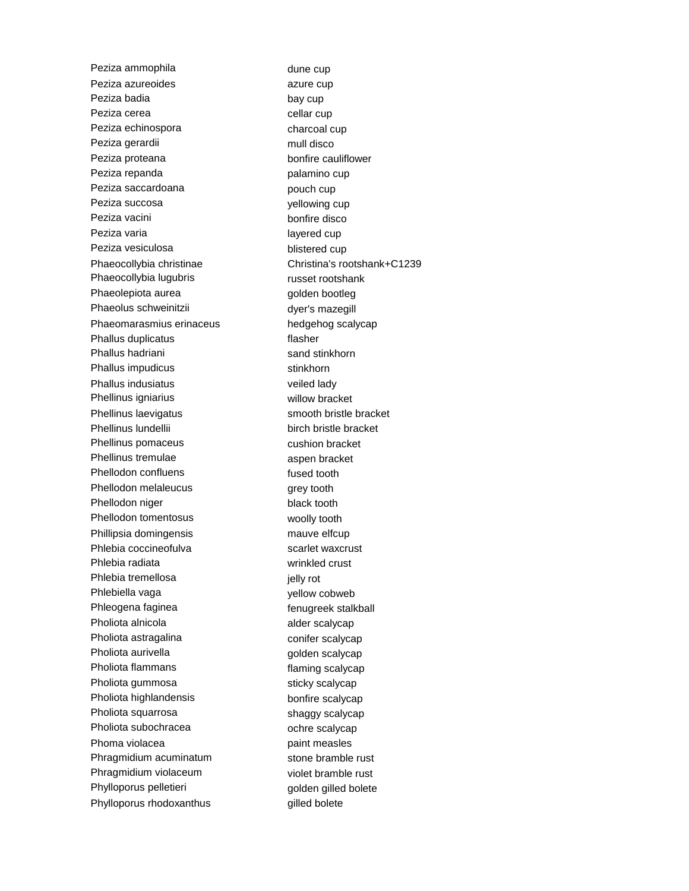Peziza ammophila dune cup Peziza azureoides azure cup Peziza badia bay cup Peziza cerea cellar cup Peziza echinospora charcoal cup Peziza gerardii mull disco Peziza proteana bonfire cauliflower Peziza repanda palamino cup Peziza saccardoana pouch cup Peziza succosa yellowing cup Peziza vacini bonfire disco Peziza varia layered cup Peziza vesiculosa blistered cup Phaeocollybia christinae Christina's rootshank+C1239 Phaeocollybia lugubris russet rootshank Phaeolepiota aurea eta arresa golden bootleg Phaeolus schweinitzii dyer's mazegill Phaeomarasmius erinaceus hedgehog scalycap Phallus duplicatus flasher Phallus hadriani sand stinkhorn Phallus impudicus stinkhorn Phallus indusiatus veiled lady Phellinus igniarius willow bracket Phellinus laevigatus smooth bristle bracket Phellinus lundellii birch bristle bracket Phellinus pomaceus cushion bracket Phellinus tremulae aspen bracket Phellodon confluens fused tooth Phellodon melaleucus grey tooth Phellodon niger black tooth Phellodon tomentosus woolly tooth Phillipsia domingensis mauve elfcup Phlebia coccineofulva scarlet waxcrust Phlebia radiata wrinkled crust Phlebia tremellosa in the state of the phlebia tremellosa Phlebiella vaga yellow cobweb Phleogena faginea fenugreek stalkball Pholiota alnicola anticola alder scalycap Pholiota astragalina conifer scalycap Pholiota aurivella entrantena aurior de la golden scalycap Pholiota flammans flaming scalycap Pholiota gummosa sticky scalycap Pholiota highlandensis bonfire scalycap Pholiota squarrosa shaggy scalycap Pholiota subochracea ochre scalycap Phoma violacea **paint measles** Phragmidium acuminatum stone bramble rust Phragmidium violaceum violet bramble rust Phylloporus pelletieri eta alternativa golden gilled bolete Phylloporus rhodoxanthus **gilled** bolete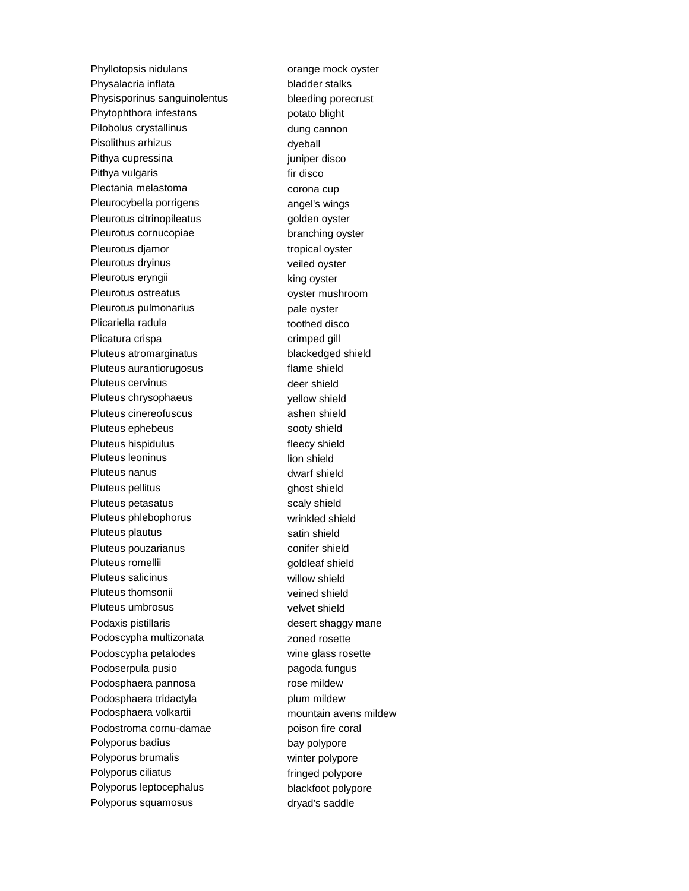Phyllotopsis nidulans orange mock oyster Physalacria inflata bladder stalks Physisporinus sanguinolentus bleeding porecrust Phytophthora infestans potato blight Pilobolus crystallinus and the dung cannon Pisolithus arhizus dyeball Pithya cupressina in the settlement of the purific property in the property of the purific property of the purific property of the purific property of the purific property of the purific property of the purific property of Pithya vulgaris **Fixall** Pithya vulgaris **fixall** provide the state of the state of the state of the state of the state of the state of the state of the state of the state of the state of the state of the state of the stat Plectania melastoma corona cup Pleurocybella porrigens angel's wings Pleurotus citrinopileatus **golden** oyster Pleurotus cornucopiae branching oyster Pleurotus djamor tropical oyster Pleurotus dryinus veiled oyster Pleurotus eryngii king oyster Pleurotus ostreatus **by** oyster mushroom Pleurotus pulmonarius **pale oxide in the set of the existence of the existence of the existence of the existence** Plicariella radula toothed disco Plicatura crispa crimped gill Pluteus atromarginatus blackedged shield Pluteus aurantiorugosus flame shield Pluteus cervinus and the state of the deer shield Pluteus chrysophaeus vellow shield Pluteus cinereofuscus ashen shield Pluteus ephebeus sooty shield Pluteus hispidulus **Figure 1** and the fleecy shield Pluteus leoninus and a state of the lion shield Pluteus nanus and the state of the dwarf shield Pluteus pellitus ghost shield Pluteus petasatus scaly shield Pluteus phlebophorus wrinkled shield Pluteus plautus satin shield Pluteus pouzarianus conifer shield Pluteus romellii aan aan aan oo goldleaf shield Pluteus salicinus willow shield Pluteus thomsonii veined shield Pluteus umbrosus velvet shield Podaxis pistillaris extending the state of desert shaqqy mane Podoscypha multizonata **zoned** rosette Podoscypha petalodes wine glass rosette Podoserpula pusio pagoda fungus Podosphaera pannosa rose mildew Podosphaera tridactyla **plum mildew** Podosphaera volkartii mountain avens mildew Podostroma cornu-damae poison fire coral Polyporus badius bay polypore Polyporus brumalis winter polypore Polyporus ciliatus **Fringed polypore** Polyporus leptocephalus blackfoot polypore Polyporus squamosus dryad's saddle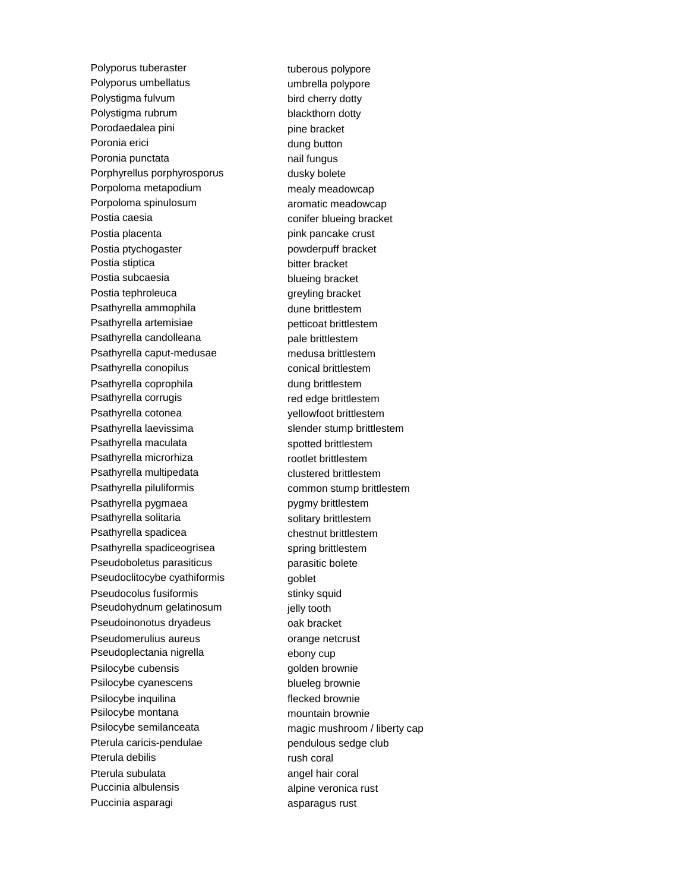Polyporus tuberaster tuberous polypore Polyporus umbellatus van and the umbrella polypore Polystigma fulvum bird cherry dotty Polystigma rubrum blackthorn dotty Porodaedalea pini pine bracket Poronia erici dung button Poronia punctata nail fungus Porphyrellus porphyrosporus by dusky bolete Porpoloma metapodium mealy meadowcap Porpoloma spinulosum aromatic meadowcap Postia caesia conifer blueing bracket Postia placenta **pink pancake crust** Postia ptychogaster **powderpuff** bracket Postia stiptica bitter bracket Postia subcaesia blueing bracket Postia tephroleuca greyling bracket Psathyrella ammophila dune brittlestem Psathyrella artemisiae petticoat brittlestem Psathyrella candolleana pale brittlestem Psathyrella caput-medusae medusa brittlestem Psathyrella conopilus conical brittlestem Psathyrella coprophila dung brittlestem Psathyrella corrugis red edge brittlestem Psathyrella cotonea yellowfoot brittlestem Psathyrella laevissima slender stump brittlestem Psathyrella maculata spotted brittlestem Psathyrella microrhiza rootlet brittlestem Psathyrella multipedata clustered brittlestem Psathyrella piluliformis example of common stump brittlestem Psathyrella pygmaea pygmy brittlestem Psathyrella solitaria solitary brittlestem Psathyrella spadicea chestnut brittlestem Psathyrella spadiceogrisea spring brittlestem Pseudoboletus parasiticus parasitic bolete Pseudoclitocybe cyathiformis exampled goblet Pseudocolus fusiformis stinky squid Pseudohydnum gelatinosum ielly tooth Pseudoinonotus dryadeus oak bracket Pseudomerulius aureus **commental** orange netcrust Pseudoplectania nigrella ebony cup Psilocybe cubensis golden brownie Psilocybe cyanescens blueleg brownie Psilocybe inquilina flecked brownie Psilocybe montana mountain brownie Psilocybe semilanceata magic mushroom / liberty cap Pterula caricis-pendulae pendulous sedge club Pterula debilis rush coral Pterula subulata angel hair coral Puccinia albulensis alpine veronica rust Puccinia asparagi asparagus rust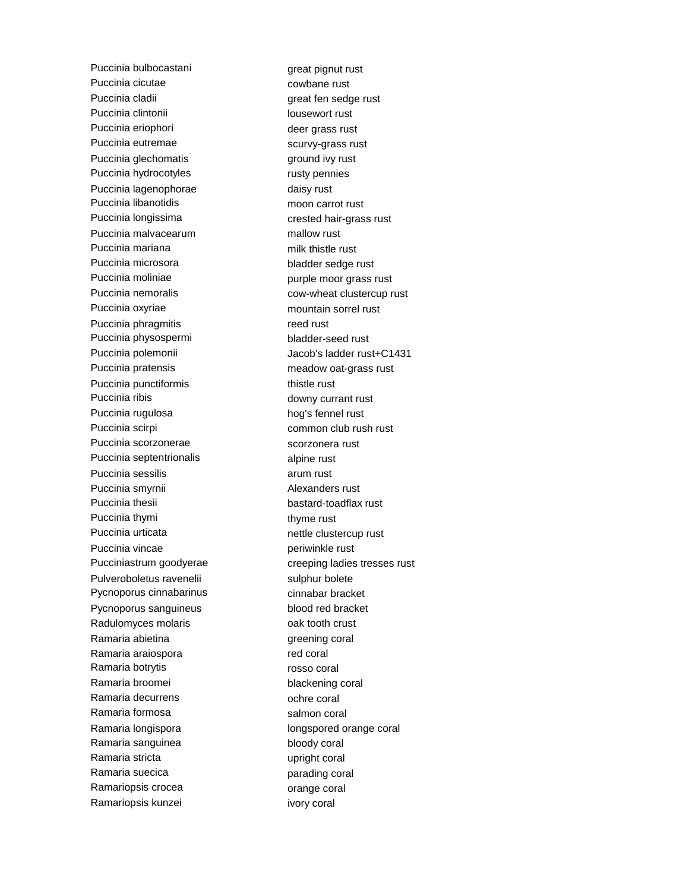Puccinia bulbocastani great pignut rust Puccinia cicutae cowbane rust Puccinia cladii and a great fen sedge rust Puccinia clintonii lousewort rust Puccinia eriophori et al. et al. et al. et al. et al. et al. et al. et al. et al. et al. et al. et al. et al. e Puccinia eutremae scurvy-grass rust Puccinia glechomatis example and ivy rust Puccinia hydrocotyles rusty pennies Puccinia lagenophorae daisy rust Puccinia libanotidis moon carrot rust Puccinia longissima crested hair-grass rust Puccinia malvacearum mallow rust Puccinia mariana milk thistle rust Puccinia microsora bladder sedge rust Puccinia moliniae **purple moor grass rust** Puccinia nemoralis cow-wheat clustercup rust Puccinia oxyriae mountain sorrel rust Puccinia phragmitis reed rust Puccinia physospermi bladder-seed rust Puccinia pratensis meadow oat-grass rust Puccinia punctiformis thistle rust Puccinia ribis and the contract of the downy currant rust Puccinia rugulosa hog's fennel rust Puccinia scirpi este common club rush rust Puccinia scorzonerae scorzonera rust Puccinia septentrionalis alpine rust Puccinia sessilis arum rust Puccinia smyrnii and alexanders rust Puccinia thesii bastard-toadflax rust Puccinia thymi thyme rust Puccinia urticata nettle clustercup rust Puccinia vincae periwinkle rust Pulveroboletus ravenelii sulphur bolete Pycnoporus cinnabarinus cinnabar cinnabar bracket Pycnoporus sanguineus blood red bracket Radulomyces molaris and the coak tooth crust Ramaria abietina queening coral Ramaria araiospora **red coral** Ramaria botrytis **Ramaria** botrytis **rosso coral** Ramaria broomei blackening coral Ramaria decurrens ochre coral Ramaria formosa salmon coral Ramaria longispora longspored orange coral Ramaria sanguinea bloody coral Ramaria stricta van and a variable van and a variable van and van and van and van and van and van a van and va Ramaria suecica **parading coral** Ramariopsis crocea **comparise coral** Ramariopsis kunzei **intervalla eta alternata eta altatea eta** ivory coral

Puccinia polemonii and all alternative discussions data discussion discussion of  $Jacob's$  ladder rust+C1431 Pucciniastrum goodyerae creeping ladies tresses rust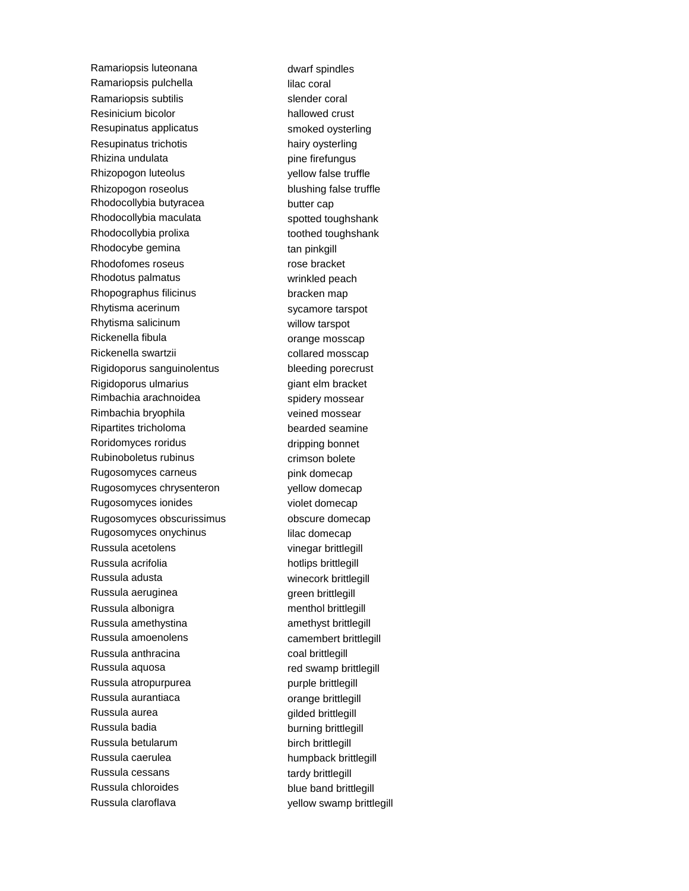Ramariopsis luteonana dwarf spindles Ramariopsis pulchella lilac coral Ramariopsis subtilis subtilis slender coral Resinicium bicolor hallowed crust Resupinatus applicatus smoked oysterling Resupinatus trichotis hairy oysterling Rhizina undulata pine firefungus Rhizopogon luteolus yellow false truffle Rhizopogon roseolus blushing false truffle Rhodocollybia butyracea butter cap Rhodocollybia maculata spotted toughshank Rhodocollybia prolixa toothed toughshank Rhodocybe gemina tan pinkgill Rhodofomes roseus rose bracket Rhodotus palmatus wrinkled peach Rhopographus filicinus bracken map Rhytisma acerinum sycamore tarspot Rhytisma salicinum willow tarspot Rickenella fibula and a series or ange mosscap Rickenella swartzii collared mosscap Rigidoporus sanguinolentus bleeding porecrust Rigidoporus ulmarius et al. et al. et al. et al. et al. et al. et al. et al. et al. et al. et al. et al. et al Rimbachia arachnoidea spidery mossear Rimbachia bryophila veined mossear Ripartites tricholoma bearded seamine Roridomyces roridus and the dripping bonnet Rubinoboletus rubinus crimson bolete Rugosomyces carneus example by pink domecap Rugosomyces chrysenteron vellow domecap Rugosomyces ionides violet domecap Rugosomyces obscurissimus **blue obscure** domecap Rugosomyces onychinus **in the set of the control of the Rugosomyces** onychinus Russula acetolens vinegar brittlegill Russula acrifolia hotlips brittlegill Russula adusta winecork brittlegill Russula aeruginea and an amazon green brittlegill Russula albonigra menthol brittlegill Russula amethystina amethyst brittlegill Russula amoenolens camembert brittlegill Russula anthracina coal brittlegill Russula aquosa **red swamp brittlegill** Russula atropurpurea purple brittlegill Russula aurantiaca **contracts** orange brittlegill Russula aurea **gilded** brittlegill Russula badia burning brittlegill Russula betularum birch brittlegill Russula caerulea humpback brittlegill Russula cessans tardy brittlegill Russula chloroides blue band brittlegill Russula claroflava vellow swamp brittlegill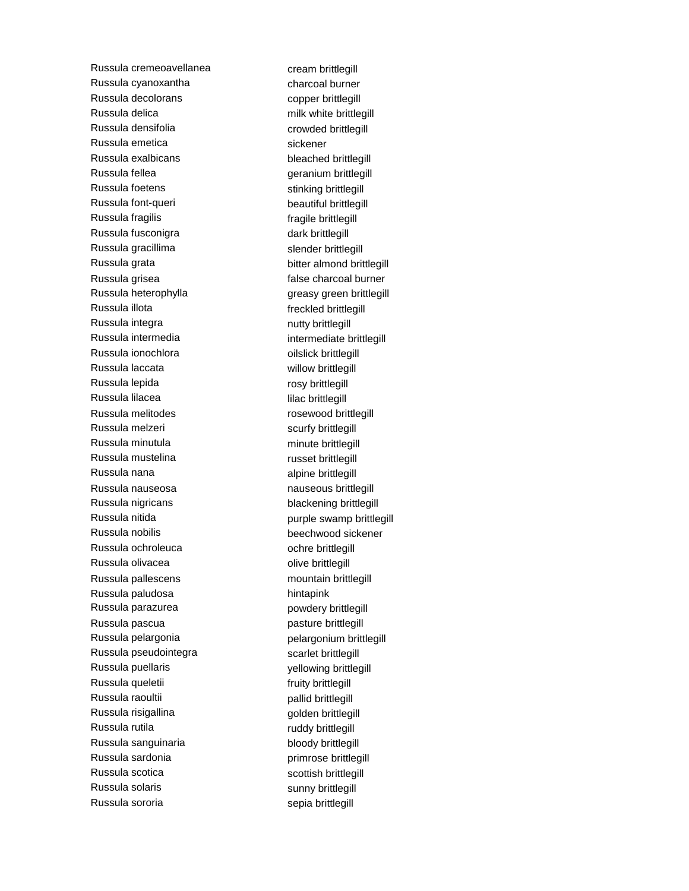Russula cremeoavellanea cream brittlegill Russula cyanoxantha charcoal burner Russula decolorans copper brittlegill Russula delica milk white brittlegill Russula densifolia crowded brittlegill Russula emetica sickener Russula exalbicans bleached brittlegill Russula fellea **geranium brittlegill** Russula foetens stinking brittlegill Russula font-queri beautiful brittlegill Russula fragilis **Fragilis fragile brittlegill** Russula fusconigra dark brittlegill Russula gracillima slender brittlegill Russula grata bitter almond brittlegill Russula grisea **false** charcoal burner Russula heterophylla greasy green brittlegill Russula illota **freckled** brittlegill Russula integra nutty brittlegill Russula intermedia intermediate brittlegill Russula ionochlora **oilslick** brittlegill Russula laccata willow brittlegill Russula lepida **rosy brittlegill** Russula lilacea lilac brittlegill Russula melitodes rosewood brittlegill Russula melzeri scurfy brittlegill Russula minutula minute brittlegill Russula mustelina **russet brittlegill** Russula nana alpine brittlegill Russula nauseosa nauseous brittlegill Russula nigricans blackening brittlegill Russula nitida **purple swamp brittlegill** Russula nobilis beechwood sickener Russula ochroleuca<br>
ochre brittlegill Russula olivacea **olive brittlegill** Russula pallescens mountain brittlegill Russula paludosa hintapink Russula parazurea **powdery brittlegill** Russula pascua pasture brittlegill Russula pelargonia pelargonium brittlegill Russula pseudointegra scarlet brittlegill Russula puellaris yellowing brittlegill Russula queletii **Fruity brittlegill Russula** queletii Russula raoultii **pallid brittlegill** Russula risigallina and a golden brittlegill Russula rutila **ruddy brittlegill** Russula sanguinaria bloody brittlegill Russula sardonia **primrose** brittlegill Russula scotica scottish brittlegill Russula solaris and the sunny brittlegill Russula sororia sepia brittlegill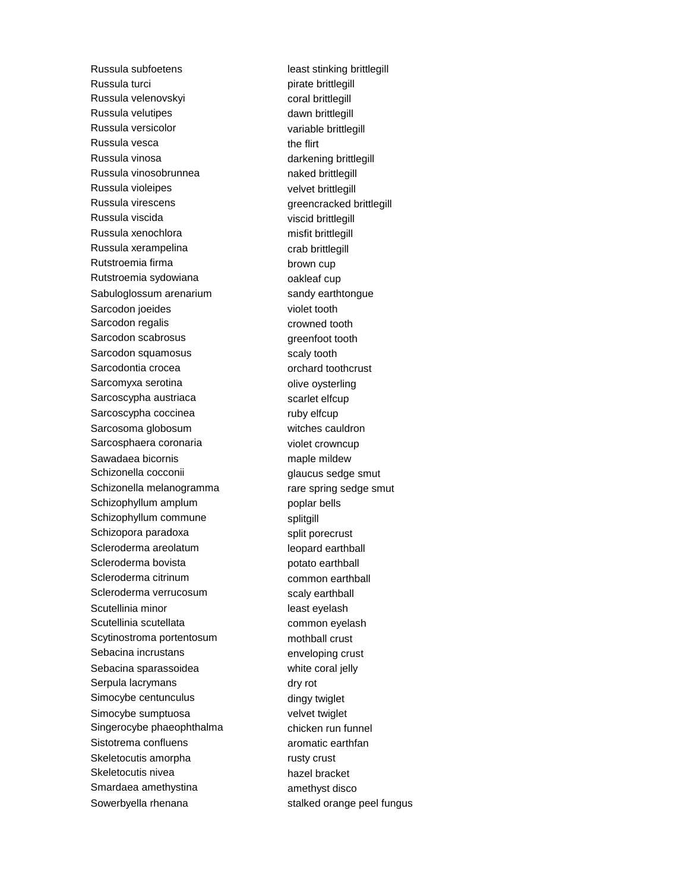Russula subfoetens least stinking brittlegill Russula turci **pirate brittlegill** Russula velenovskyi coral brittlegill Russula velutipes and a control of the dawn brittlegill Russula versicolor variable brittlegill Russula vesca the flirt Russula vinosa **darkening brittlegill** Russula vinosobrunnea naked brittlegill Russula violeipes velvet brittlegill Russula virescens **Russula virescens** greencracked brittlegill Russula viscida viscid brittlegill Russula xenochlora misfit brittlegill Russula xerampelina crab brittlegill Rutstroemia firma brown cup Rutstroemia sydowiana **oakleaf** cup Sabuloglossum arenarium sandy earthtongue Sarcodon joeides violet tooth Sarcodon regalis crowned tooth Sarcodon scabrosus greenfoot tooth Sarcodon squamosus scaly tooth Sarcodontia crocea orchard toothcrust Sarcomyxa serotina **combinal contract on the server of the server** olive oysterling Sarcoscypha austriaca scarlet elfcup Sarcoscypha coccinea ruby elfcup Sarcosoma globosum witches cauldron Sarcosphaera coronaria violet crowncup Sawadaea bicornis maple mildew Schizonella cocconii glaucus sedge smut Schizonella melanogramma<br>
rare spring sedge smut Schizophyllum amplum poplar bells Schizophyllum commune splitgill Schizopora paradoxa split porecrust Scleroderma areolatum leopard earthball Scleroderma bovista potato earthball Scleroderma citrinum common earthball Scleroderma verrucosum scaly earthball Scutellinia minor and the least eyelash Scutellinia scutellata common eyelash Scytinostroma portentosum<br>
mothball crust Sebacina incrustans enveloping crust Sebacina sparassoidea white coral jelly Serpula lacrymans dry rot Simocybe centunculus and dingy twiglet Simocybe sumptuosa velvet twiglet Singerocybe phaeophthalma chicken run funnel Sistotrema confluens and aromatic earthfan Skeletocutis amorpha<br>
Fig. b. The rusty crust Skeletocutis nivea hazel bracket Smardaea amethystina amethyst disco Sowerbyella rhenana stalked orange peel fungus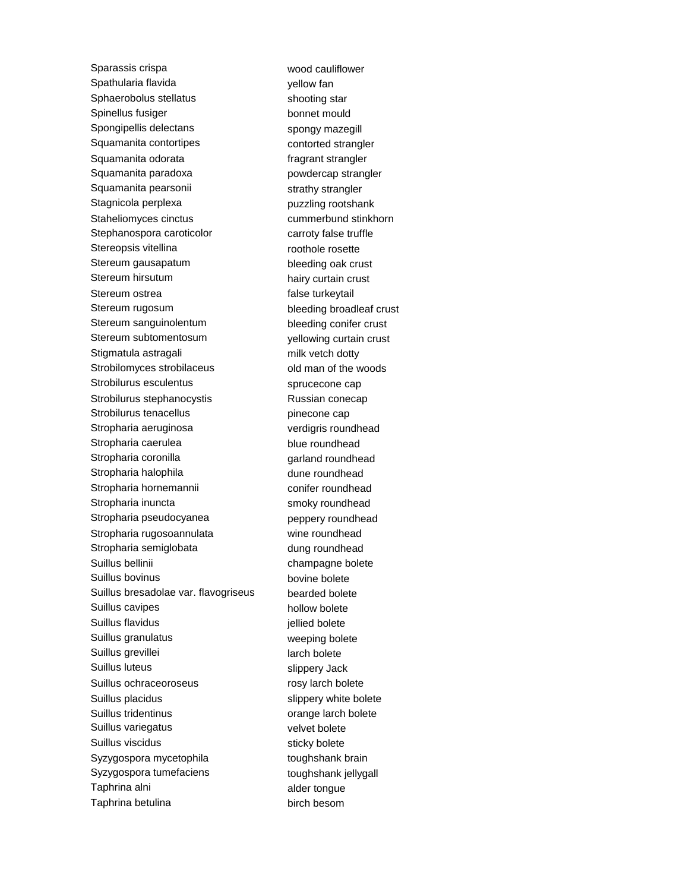Sparassis crispa wood cauliflower Spathularia flavida yellow fan Sphaerobolus stellatus shooting star Spinellus fusiger bonnet mould Spongipellis delectans spongy mazegill Squamanita contortipes contorted strangler Squamanita odorata fragrant strangler Squamanita paradoxa powdercap strangler Squamanita pearsonii strathy strangler Stagnicola perplexa puzzling rootshank Staheliomyces cinctus cummerbund stinkhorn Stephanospora caroticolor carroty false truffle Stereopsis vitellina roothole rosette Stereum gausapatum bleeding oak crust Stereum hirsutum hairy curtain crust Stereum ostrea false turkeytail Stereum rugosum bleeding broadleaf crust Stereum sanguinolentum bleeding conifer crust Stereum subtomentosum<br>
yellowing curtain crust Stigmatula astragali milk vetch dotty Strobilomyces strobilaceus old man of the woods Strobilurus esculentus sprucecone cap Strobilurus stephanocystis Russian conecap Strobilurus tenacellus entity pinecone cap Stropharia aeruginosa verdigris roundhead Stropharia caerulea blue roundhead Stropharia coronilla expression and roundhead Stropharia halophila dune roundhead Stropharia hornemannii conifer roundhead Stropharia inuncta smoky roundhead Stropharia pseudocyanea **peppery roundhead** Stropharia rugosoannulata wine roundhead Stropharia semiglobata dung roundhead Suillus bellinii champagne bolete Suillus bovinus bovine bolete Suillus bresadolae var. flavogriseus bearded bolete Suillus cavipes hollow bolete Suillus flavidus in the set of the set of the set of the set of the set of the set of the set of the set of the set of the set of the set of the set of the set of the set of the set of the set of the set of the set of the Suillus granulatus weeping bolete Suillus grevillei and a larch bolete Suillus luteus slippery Jack Suillus ochraceoroseus rosy larch bolete Suillus placidus slippery white bolete Suillus tridentinus **Suillus** orange larch bolete Suillus variegatus velvet bolete Suillus viscidus sticky bolete Syzygospora mycetophila toughshank brain Syzygospora tumefaciens toughshank jellygall Taphrina alni alder tongue Taphrina betulina birch besom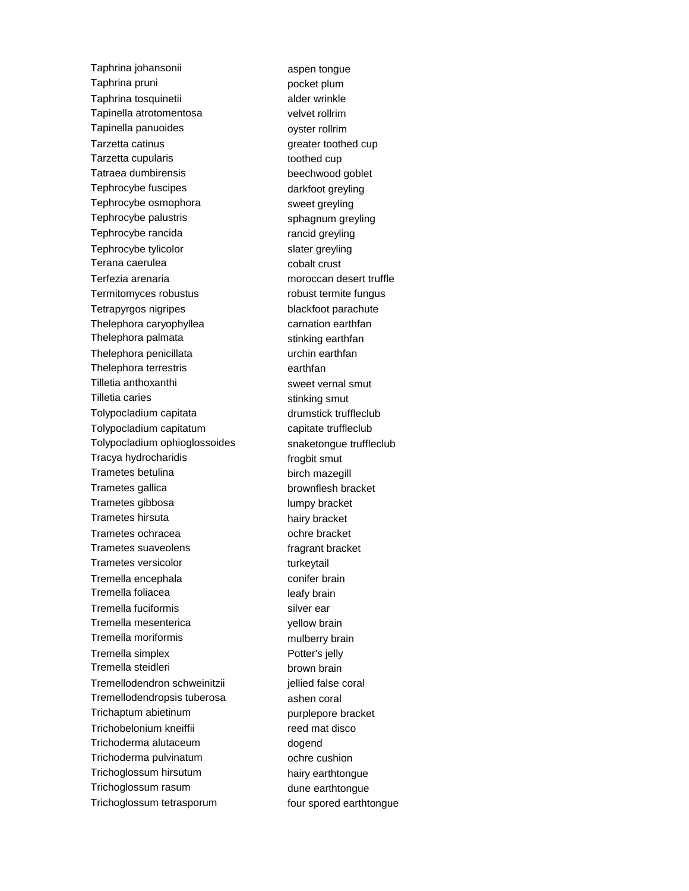Taphrina johansonii aspen tongue Taphrina pruni **pocket** plum Taphrina tosquinetii alder wrinkle Tapinella atrotomentosa velvet rollrim Tapinella panuoides ovster rollrim Tarzetta catinus and the settlement of the settlement of the settlement of the settlement of the settlement of the settlement of the settlement of the settlement of the settlement of the settlement of the settlement of the Tarzetta cupularis and toothed cup Tatraea dumbirensis beechwood goblet Tephrocybe fuscipes darkfoot greyling Tephrocybe osmophora sweet greyling Tephrocybe palustris sphagnum greyling Tephrocybe rancida rancid greyling Tephrocybe tylicolor slater greyling Terana caerulea cobalt crust Terfezia arenaria moroccan desert truffle Termitomyces robustus robust termite fungus Tetrapyrgos nigripes blackfoot parachute Thelephora caryophyllea carnation earthfan Thelephora palmata stinking earthfan Thelephora penicillata vanta urchin earthfan Thelephora terrestris earthfan Tilletia anthoxanthi sweet vernal smut Tilletia caries stinking smut Tolypocladium capitata drumstick truffleclub Tolypocladium capitatum capitate truffleclub Tolypocladium ophioglossoides snaketongue truffleclub Tracya hydrocharidis frogbit smut Trametes betulina birch mazegill Trametes gallica brownflesh bracket Trametes gibbosa lumpy bracket Trametes hirsuta hairy bracket Trametes ochracea ochre bracket Trametes suaveolens fragrant bracket Trametes versicolor by turkeytail Tremella encephala conifer brain Tremella foliacea leafy brain Tremella fuciformis silver ear Tremella mesenterica<br>
yellow brain Tremella moriformis mulberry brain Tremella simplex Potter's jelly Tremella steidleri brown brain Tremellodendron schweinitzii internaliellied false coral Tremellodendropsis tuberosa ashen coral Trichaptum abietinum **purplepore** bracket Trichobelonium kneiffii reed mat disco Trichoderma alutaceum dogend Trichoderma pulvinatum ochre cushion Trichoglossum hirsutum hairy earthtongue Trichoglossum rasum dune earthtongue Trichoglossum tetrasporum four spored earthtongue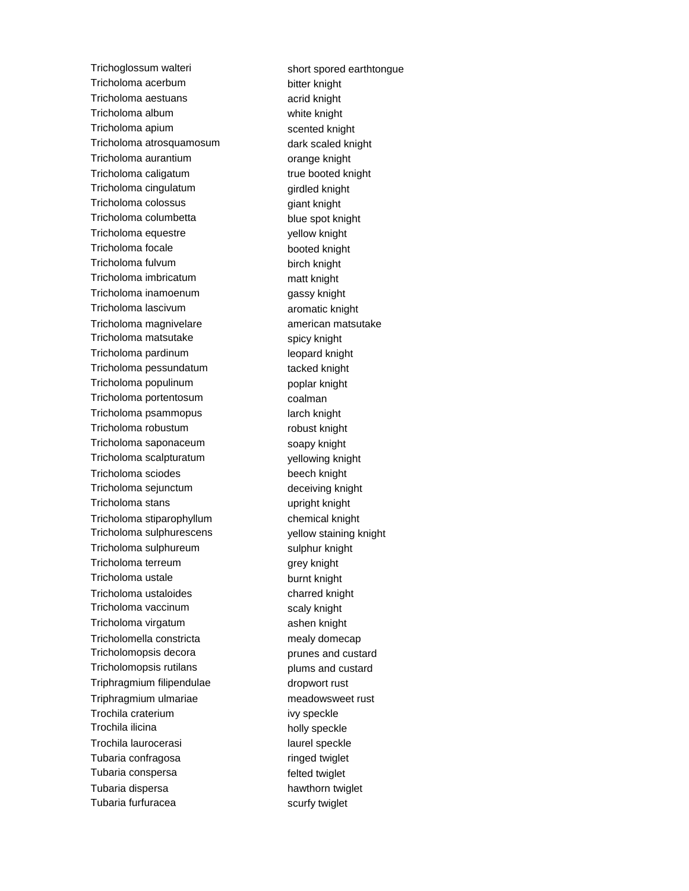Trichoglossum walteri short spored earthtongue Tricholoma acerbum bitter knight Tricholoma aestuans acrid knight Tricholoma album white knight Tricholoma apium scented knight Tricholoma atrosquamosum dark scaled knight Tricholoma aurantium **orange knight** Tricholoma caligatum true booted knight Tricholoma cingulatum girdled knight Tricholoma colossus **giant** knight Tricholoma columbetta blue spot knight Tricholoma equestre vellow knight Tricholoma focale booted knight Tricholoma fulvum birch knight Tricholoma imbricatum matt knight Tricholoma inamoenum gassy knight Tricholoma lascivum aromatic knight Tricholoma magnivelare american matsutake Tricholoma matsutake spicy knight Tricholoma pardinum leopard knight Tricholoma pessundatum tacked knight Tricholoma populinum **populity** poplar knight Tricholoma portentosum coalman Tricholoma psammopus larch knight Tricholoma robustum robust knight Tricholoma saponaceum soapy knight Tricholoma scalpturatum yellowing knight Tricholoma sciodes beech knight Tricholoma sejunctum deceiving knight Tricholoma stans upright knight Tricholoma stiparophyllum chemical knight Tricholoma sulphurescens yellow staining knight Tricholoma sulphureum sulphur knight Tricholoma terreum grey knight Tricholoma ustale burnt knight Tricholoma ustaloides charred knight Tricholoma vaccinum scaly knight Tricholoma virgatum ashen knight Tricholomella constricta mealy domecap Tricholomopsis decora **property** prunes and custard Tricholomopsis rutilans metal plums and custard Triphragmium filipendulae dropwort rust Triphragmium ulmariae meadowsweet rust Trochila craterium ivy speckle Trochila ilicina holly speckle Trochila laurocerasi laurel speckle Tubaria confragosa **ringed** twiglet Tubaria conspersa **felted** twiglet Tubaria dispersa hawthorn twiglet Tubaria furfuracea scurfy twiglet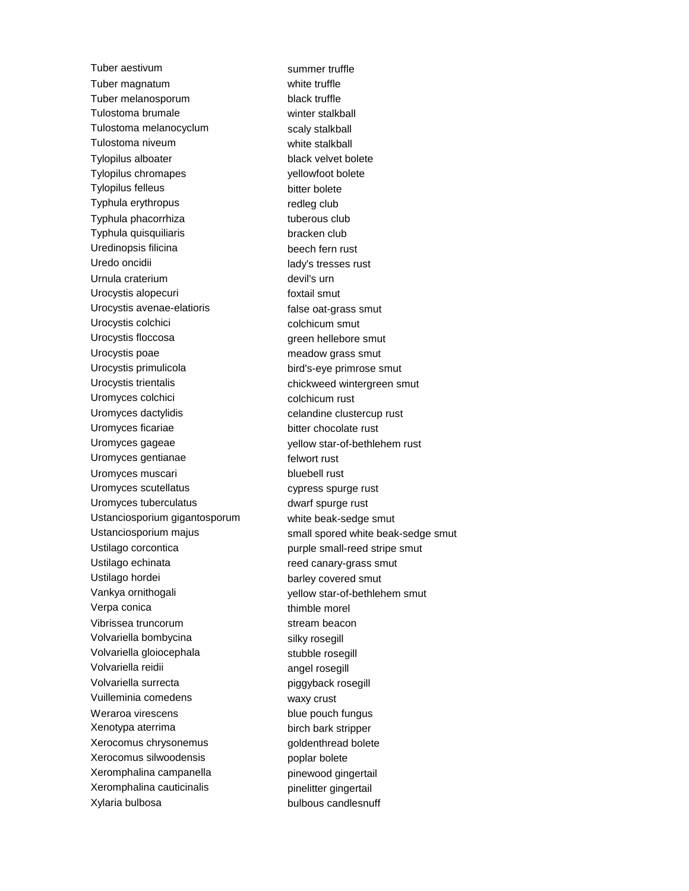Tuber aestivum summer truffle Tuber magnatum white truffle Tuber melanosporum black truffle Tulostoma brumale winter stalkball Tulostoma melanocyclum scaly stalkball Tulostoma niveum white stalkball Tylopilus alboater black velvet bolete Tylopilus chromapes yellowfoot bolete Tylopilus felleus bitter bolete Typhula erythropus redleg club Typhula phacorrhiza tuberous club Typhula quisquiliaris bracken club Uredinopsis filicina beech fern rust Uredo oncidii lady's tresses rust Urnula craterium devil's urn Urocystis alopecuri **foxtail smut** Urocystis avenae-elatioris false oat-grass smut Urocystis colchici colchicum smut Urocystis floccosa green hellebore smut Urocystis poae meadow grass smut Urocystis primulicola bird's-eye primrose smut Urocystis trientalis chickweed wintergreen smut Uromyces colchici colchicum rust Uromyces dactylidis extending celandine clustercup rust Uromyces ficariae bitter chocolate rust Uromyces gageae yellow star-of-bethlehem rust Uromyces gentianae felwort rust Uromyces muscari bluebell rust Uromyces scutellatus cypress spurge rust Uromyces tuberculatus dwarf spurge rust Ustanciosporium gigantosporum white beak-sedge smut Ustilago corcontica extending purple small-reed stripe smut Ustilago echinata **reed canary-grass smut** Ustilago hordei barley covered smut Vankya ornithogali vankya ornithogali vankya ornithogali vankya yellow star-of-bethlehem smut Verpa conica thimble morel Vibrissea truncorum stream beacon Volvariella bombycina silky rosegill Volvariella gloiocephala stubble rosegill Volvariella reidii angel rosegill Volvariella surrecta piggyback rosegill Vuilleminia comedens waxy crust Weraroa virescens blue pouch fungus Xenotypa aterrima birch bark stripper Xerocomus chrysonemus quality and goldenthread bolete Xerocomus silwoodensis example poplar bolete Xeromphalina campanella pinewood gingertail Xeromphalina cauticinalis examples pinelitter gingertail Xylaria bulbosa bulbous candlesnuff

Ustanciosporium majus small spored white beak-sedge smut